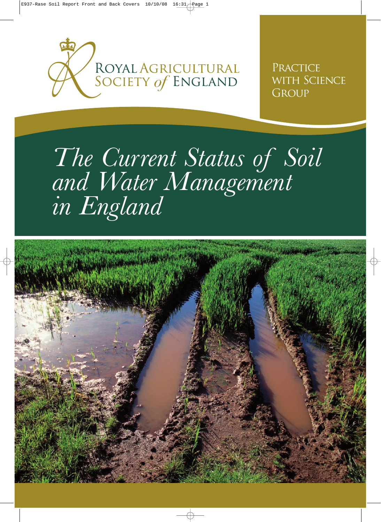

PRACTICE WITH SCIENCE GROUP

# *The Current Status of Soil and Water Management in England*

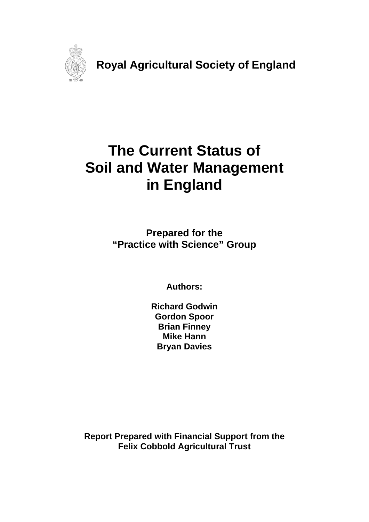

**Royal Agricultural Society of England** 

# **The Current Status of Soil and Water Management in England**

**Prepared for the "Practice with Science" Group** 

**Authors:** 

**Richard Godwin Gordon Spoor Brian Finney Mike Hann Bryan Davies** 

**Report Prepared with Financial Support from the Felix Cobbold Agricultural Trust**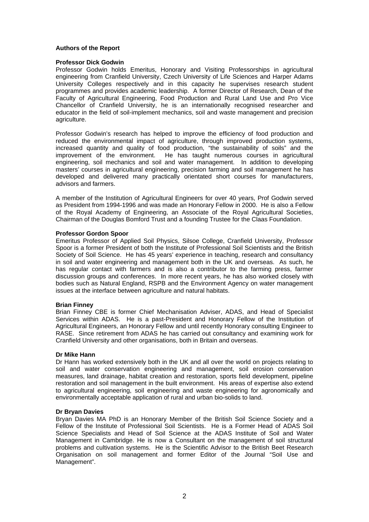#### **Authors of the Report**

#### **Professor Dick Godwin**

Professor Godwin holds Emeritus, Honorary and Visiting Professorships in agricultural engineering from Cranfield University, Czech University of Life Sciences and Harper Adams University Colleges respectively and in this capacity he supervises research student programmes and provides academic leadership. A former Director of Research, Dean of the Faculty of Agricultural Engineering, Food Production and Rural Land Use and Pro Vice Chancellor of Cranfield University, he is an internationally recognised researcher and educator in the field of soil-implement mechanics, soil and waste management and precision agriculture.

Professor Godwin's research has helped to improve the efficiency of food production and reduced the environmental impact of agriculture, through improved production systems, increased quantity and quality of food production, "the sustainability of soils" and the improvement of the environment. He has taught numerous courses in agricultural engineering, soil mechanics and soil and water management. In addition to developing masters' courses in agricultural engineering, precision farming and soil management he has developed and delivered many practically orientated short courses for manufacturers, advisors and farmers.

A member of the Institution of Agricultural Engineers for over 40 years, Prof Godwin served as President from 1994-1996 and was made an Honorary Fellow in 2000. He is also a Fellow of the Royal Academy of Engineering, an Associate of the Royal Agricultural Societies, Chairman of the Douglas Bomford Trust and a founding Trustee for the Claas Foundation.

#### **Professor Gordon Spoor**

Emeritus Professor of Applied Soil Physics, Silsoe College, Cranfield University, Professor Spoor is a former President of both the Institute of Professional Soil Scientists and the British Society of Soil Science. He has 45 years' experience in teaching, research and consultancy in soil and water engineering and management both in the UK and overseas. As such, he has regular contact with farmers and is also a contributor to the farming press, farmer discussion groups and conferences. In more recent years, he has also worked closely with bodies such as Natural England, RSPB and the Environment Agency on water management issues at the interface between agriculture and natural habitats.

#### **Brian Finney**

Brian Finney CBE is former Chief Mechanisation Adviser, ADAS, and Head of Specialist Services within ADAS. He is a past-President and Honorary Fellow of the Institution of Agricultural Engineers, an Honorary Fellow and until recently Honorary consulting Engineer to RASE. Since retirement from ADAS he has carried out consultancy and examining work for Cranfield University and other organisations, both in Britain and overseas.

#### **Dr Mike Hann**

Dr Hann has worked extensively both in the UK and all over the world on projects relating to soil and water conservation engineering and management, soil erosion conservation measures, land drainage, habitat creation and restoration, sports field development, pipeline restoration and soil management in the built environment. His areas of expertise also extend to agricultural engineering, soil engineering and waste engineering for agronomically and environmentally acceptable application of rural and urban bio-solids to land.

#### **Dr Bryan Davies**

Bryan Davies MA PhD is an Honorary Member of the British Soil Science Society and a Fellow of the Institute of Professional Soil Scientists. He is a Former Head of ADAS Soil Science Specialists and Head of Soil Science at the ADAS Institute of Soil and Water Management in Cambridge. He is now a Consultant on the management of soil structural problems and cultivation systems. He is the Scientific Advisor to the British Beet Research Organisation on soil management and former Editor of the Journal "Soil Use and Management".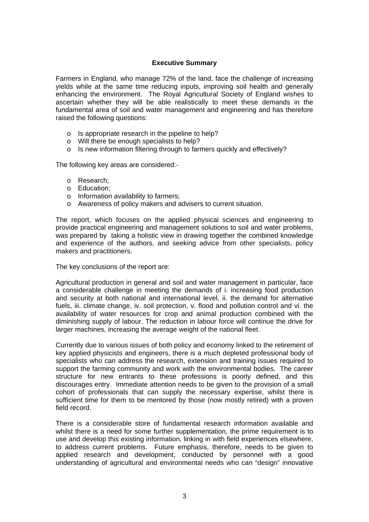# **Executive Summary**

Farmers in England, who manage 72% of the land, face the challenge of increasing yields while at the same time reducing inputs, improving soil health and generally enhancing the environment. The Royal Agricultural Society of England wishes to ascertain whether they will be able realistically to meet these demands in the fundamental area of soil and water management and engineering and has therefore raised the following questions:

- o Is appropriate research in the pipeline to help?
- o Will there be enough specialists to help?
- o Is new information filtering through to farmers quickly and effectively?

The following key areas are considered:-

- o Research;
- o Education;
- o Information availability to farmers;
- o Awareness of policy makers and advisers to current situation.

The report, which focuses on the applied physical sciences and engineering to provide practical engineering and management solutions to soil and water problems, was prepared by taking a holistic view in drawing together the combined knowledge and experience of the authors, and seeking advice from other specialists, policy makers and practitioners.

The key conclusions of the report are:

Agricultural production in general and soil and water management in particular, face a considerable challenge in meeting the demands of i. increasing food production and security at both national and international level, ii. the demand for alternative fuels, iii. climate change, iv. soil protection, v. flood and pollution control and vi. the availability of water resources for crop and animal production combined with the diminishing supply of labour. The reduction in labour force will continue the drive for larger machines, increasing the average weight of the national fleet.

Currently due to various issues of both policy and economy linked to the retirement of key applied physicists and engineers, there is a much depleted professional body of specialists who can address the research, extension and training issues required to support the farming community and work with the environmental bodies. The career structure for new entrants to these professions is poorly defined, and this discourages entry. Immediate attention needs to be given to the provision of a small cohort of professionals that can supply the necessary expertise, whilst there is sufficient time for them to be mentored by those (now mostly retired) with a proven field record.

There is a considerable store of fundamental research information available and whilst there is a need for some further supplementation, the prime requirement is to use and develop this existing information, linking in with field experiences elsewhere, to address current problems. Future emphasis, therefore, needs to be given to applied research and development, conducted by personnel with a good understanding of agricultural and environmental needs who can "design" innovative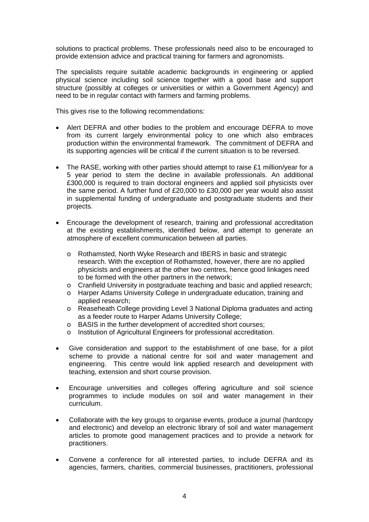solutions to practical problems. These professionals need also to be encouraged to provide extension advice and practical training for farmers and agronomists.

The specialists require suitable academic backgrounds in engineering or applied physical science including soil science together with a good base and support structure (possibly at colleges or universities or within a Government Agency) and need to be in regular contact with farmers and farming problems.

This gives rise to the following recommendations:

- Alert DEFRA and other bodies to the problem and encourage DEFRA to move from its current largely environmental policy to one which also embraces production within the environmental framework. The commitment of DEFRA and its supporting agencies will be critical if the current situation is to be reversed.
- The RASE, working with other parties should attempt to raise  $£1$  million/year for a 5 year period to stem the decline in available professionals. An additional £300,000 is required to train doctoral engineers and applied soil physicists over the same period. A further fund of £20,000 to £30,000 per year would also assist in supplemental funding of undergraduate and postgraduate students and their projects.
- Encourage the development of research, training and professional accreditation at the existing establishments, identified below, and attempt to generate an atmosphere of excellent communication between all parties.
	- o Rothamsted, North Wyke Research and IBERS in basic and strategic research. With the exception of Rothamsted, however, there are no applied physicists and engineers at the other two centres, hence good linkages need to be formed with the other partners in the network;
	- o Cranfield University in postgraduate teaching and basic and applied research;
	- o Harper Adams University College in undergraduate education, training and applied research;
	- o Reaseheath College providing Level 3 National Diploma graduates and acting as a feeder route to Harper Adams University College;
	- o BASIS in the further development of accredited short courses;
	- o Institution of Agricultural Engineers for professional accreditation.
- Give consideration and support to the establishment of one base, for a pilot scheme to provide a national centre for soil and water management and engineering. This centre would link applied research and development with teaching, extension and short course provision.
- Encourage universities and colleges offering agriculture and soil science programmes to include modules on soil and water management in their curriculum.
- Collaborate with the key groups to organise events, produce a journal (hardcopy and electronic) and develop an electronic library of soil and water management articles to promote good management practices and to provide a network for practitioners.
- Convene a conference for all interested parties, to include DEFRA and its agencies, farmers, charities, commercial businesses, practitioners, professional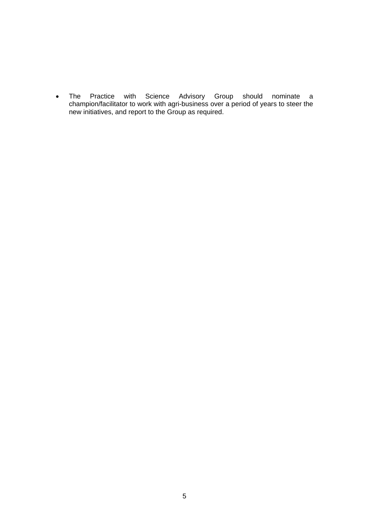• The Practice with Science Advisory Group should nominate a champion/facilitator to work with agri-business over a period of years to steer the new initiatives, and report to the Group as required.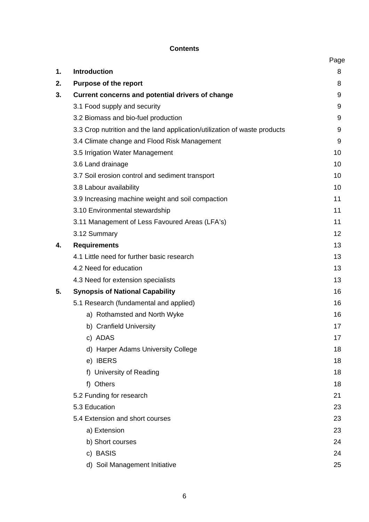# **Contents**

|    |                                                                           | Page |
|----|---------------------------------------------------------------------------|------|
| 1. | <b>Introduction</b>                                                       | 8    |
| 2. | <b>Purpose of the report</b>                                              | 8    |
| 3. | <b>Current concerns and potential drivers of change</b>                   | 9    |
|    | 3.1 Food supply and security                                              | 9    |
|    | 3.2 Biomass and bio-fuel production                                       | 9    |
|    | 3.3 Crop nutrition and the land application/utilization of waste products | 9    |
|    | 3.4 Climate change and Flood Risk Management                              | 9    |
|    | 3.5 Irrigation Water Management                                           | 10   |
|    | 3.6 Land drainage                                                         | 10   |
|    | 3.7 Soil erosion control and sediment transport                           | 10   |
|    | 3.8 Labour availability                                                   | 10   |
|    | 3.9 Increasing machine weight and soil compaction                         | 11   |
|    | 3.10 Environmental stewardship                                            | 11   |
|    | 3.11 Management of Less Favoured Areas (LFA's)                            | 11   |
|    | 3.12 Summary                                                              | 12   |
| 4. | <b>Requirements</b>                                                       | 13   |
|    | 4.1 Little need for further basic research                                | 13   |
|    | 4.2 Need for education                                                    | 13   |
|    | 4.3 Need for extension specialists                                        | 13   |
| 5. | <b>Synopsis of National Capability</b>                                    | 16   |
|    | 5.1 Research (fundamental and applied)                                    | 16   |
|    | a) Rothamsted and North Wyke                                              | 16   |
|    | b) Cranfield University                                                   | 17   |
|    | c) ADAS                                                                   | 17   |
|    | d) Harper Adams University College                                        | 18   |
|    | e) IBERS                                                                  | 18   |
|    | f) University of Reading                                                  | 18   |
|    | f) Others                                                                 | 18   |
|    | 5.2 Funding for research                                                  | 21   |
|    | 5.3 Education                                                             | 23   |
|    | 5.4 Extension and short courses                                           | 23   |
|    | a) Extension                                                              | 23   |
|    | b) Short courses                                                          | 24   |
|    | c) BASIS                                                                  | 24   |
|    | d) Soil Management Initiative                                             | 25   |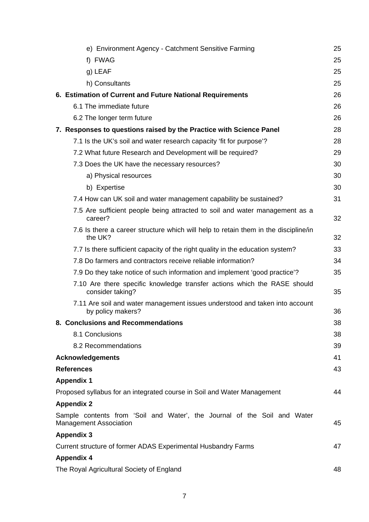| e) Environment Agency - Catchment Sensitive Farming                                                       | 25 |
|-----------------------------------------------------------------------------------------------------------|----|
| f) FWAG                                                                                                   | 25 |
| g) LEAF                                                                                                   | 25 |
| h) Consultants                                                                                            | 25 |
| 6. Estimation of Current and Future National Requirements                                                 | 26 |
| 6.1 The immediate future                                                                                  | 26 |
| 6.2 The longer term future                                                                                | 26 |
| 7. Responses to questions raised by the Practice with Science Panel                                       | 28 |
| 7.1 Is the UK's soil and water research capacity 'fit for purpose'?                                       | 28 |
| 7.2 What future Research and Development will be required?                                                | 29 |
| 7.3 Does the UK have the necessary resources?                                                             | 30 |
| a) Physical resources                                                                                     | 30 |
| b) Expertise                                                                                              | 30 |
| 7.4 How can UK soil and water management capability be sustained?                                         | 31 |
| 7.5 Are sufficient people being attracted to soil and water management as a<br>career?                    | 32 |
| 7.6 Is there a career structure which will help to retain them in the discipline/in<br>the UK?            | 32 |
| 7.7 Is there sufficient capacity of the right quality in the education system?                            | 33 |
| 7.8 Do farmers and contractors receive reliable information?                                              | 34 |
| 7.9 Do they take notice of such information and implement 'good practice'?                                | 35 |
| 7.10 Are there specific knowledge transfer actions which the RASE should<br>consider taking?              | 35 |
| 7.11 Are soil and water management issues understood and taken into account<br>by policy makers?          | 36 |
| 8. Conclusions and Recommendations                                                                        | 38 |
| 8.1 Conclusions                                                                                           | 38 |
| 8.2 Recommendations                                                                                       | 39 |
| <b>Acknowledgements</b>                                                                                   | 41 |
| <b>References</b>                                                                                         | 43 |
| <b>Appendix 1</b>                                                                                         |    |
| Proposed syllabus for an integrated course in Soil and Water Management                                   | 44 |
| <b>Appendix 2</b>                                                                                         |    |
| Sample contents from 'Soil and Water', the Journal of the Soil and Water<br><b>Management Association</b> | 45 |
| <b>Appendix 3</b>                                                                                         |    |
| Current structure of former ADAS Experimental Husbandry Farms                                             | 47 |
| <b>Appendix 4</b>                                                                                         |    |
| The Royal Agricultural Society of England                                                                 | 48 |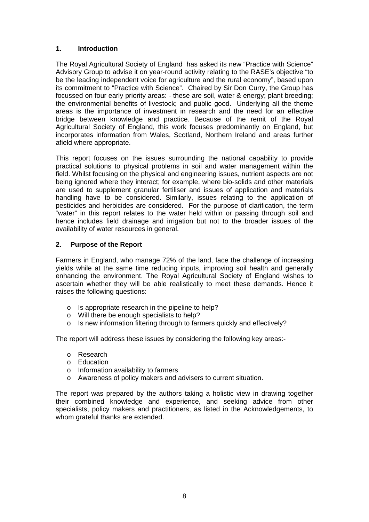# **1. Introduction**

The Royal Agricultural Society of England has asked its new "Practice with Science" Advisory Group to advise it on year-round activity relating to the RASE's objective "to be the leading independent voice for agriculture and the rural economy", based upon its commitment to "Practice with Science". Chaired by Sir Don Curry, the Group has focussed on four early priority areas: - these are soil, water & energy; plant breeding; the environmental benefits of livestock; and public good. Underlying all the theme areas is the importance of investment in research and the need for an effective bridge between knowledge and practice. Because of the remit of the Royal Agricultural Society of England, this work focuses predominantly on England, but incorporates information from Wales, Scotland, Northern Ireland and areas further afield where appropriate.

This report focuses on the issues surrounding the national capability to provide practical solutions to physical problems in soil and water management within the field. Whilst focusing on the physical and engineering issues, nutrient aspects are not being ignored where they interact; for example, where bio-solids and other materials are used to supplement granular fertiliser and issues of application and materials handling have to be considered. Similarly, issues relating to the application of pesticides and herbicides are considered. For the purpose of clarification, the term "water" in this report relates to the water held within or passing through soil and hence includes field drainage and irrigation but not to the broader issues of the availability of water resources in general.

# **2. Purpose of the Report**

Farmers in England, who manage 72% of the land, face the challenge of increasing yields while at the same time reducing inputs, improving soil health and generally enhancing the environment. The Royal Agricultural Society of England wishes to ascertain whether they will be able realistically to meet these demands. Hence it raises the following questions:

- o Is appropriate research in the pipeline to help?
- o Will there be enough specialists to help?
- o Is new information filtering through to farmers quickly and effectively?

The report will address these issues by considering the following key areas:-

- o Research
- o Education
- o Information availability to farmers
- o Awareness of policy makers and advisers to current situation.

The report was prepared by the authors taking a holistic view in drawing together their combined knowledge and experience, and seeking advice from other specialists, policy makers and practitioners, as listed in the Acknowledgements, to whom grateful thanks are extended.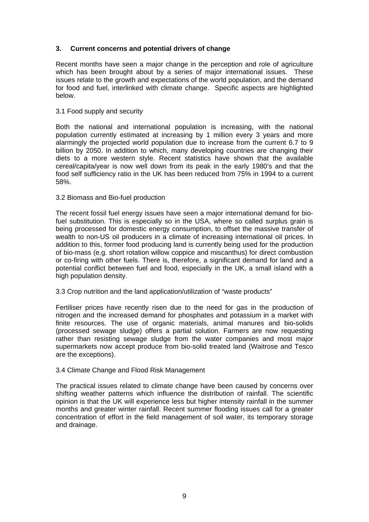# **3. Current concerns and potential drivers of change**

Recent months have seen a major change in the perception and role of agriculture which has been brought about by a series of major international issues. These issues relate to the growth and expectations of the world population, and the demand for food and fuel, interlinked with climate change. Specific aspects are highlighted below.

#### 3.1 Food supply and security

Both the national and international population is increasing, with the national population currently estimated at increasing by 1 million every 3 years and more alarmingly the projected world population due to increase from the current 6.7 to 9 billion by 2050. In addition to which, many developing countries are changing their diets to a more western style. Recent statistics have shown that the available cereal/capita/year is now well down from its peak in the early 1980's and that the food self sufficiency ratio in the UK has been reduced from 75% in 1994 to a current 58%.

#### 3.2 Biomass and Bio-fuel production

The recent fossil fuel energy issues have seen a major international demand for biofuel substitution. This is especially so in the USA, where so called surplus grain is being processed for domestic energy consumption, to offset the massive transfer of wealth to non-US oil producers in a climate of increasing international oil prices. In addition to this, former food producing land is currently being used for the production of bio-mass (e.g. short rotation willow coppice and miscanthus) for direct combustion or co-firing with other fuels. There is, therefore, a significant demand for land and a potential conflict between fuel and food, especially in the UK, a small island with a high population density.

#### 3.3 Crop nutrition and the land application/utilization of "waste products"

Fertiliser prices have recently risen due to the need for gas in the production of nitrogen and the increased demand for phosphates and potassium in a market with finite resources. The use of organic materials, animal manures and bio-solids (processed sewage sludge) offers a partial solution. Farmers are now requesting rather than resisting sewage sludge from the water companies and most major supermarkets now accept produce from bio-solid treated land (Waitrose and Tesco are the exceptions).

#### 3.4 Climate Change and Flood Risk Management

The practical issues related to climate change have been caused by concerns over shifting weather patterns which influence the distribution of rainfall. The scientific opinion is that the UK will experience less but higher intensity rainfall in the summer months and greater winter rainfall. Recent summer flooding issues call for a greater concentration of effort in the field management of soil water, its temporary storage and drainage.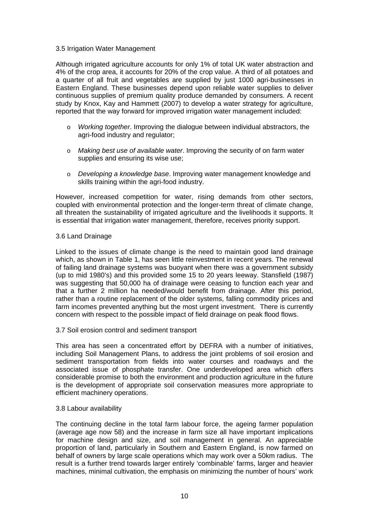# 3.5 Irrigation Water Management

Although irrigated agriculture accounts for only 1% of total UK water abstraction and 4% of the crop area, it accounts for 20% of the crop value. A third of all potatoes and a quarter of all fruit and vegetables are supplied by just 1000 agri-businesses in Eastern England. These businesses depend upon reliable water supplies to deliver continuous supplies of premium quality produce demanded by consumers. A recent study by Knox, Kay and Hammett (2007) to develop a water strategy for agriculture, reported that the way forward for improved irrigation water management included:

- o *Working together*. Improving the dialogue between individual abstractors, the agri-food industry and regulator;
- o *Making best use of available water*. Improving the security of on farm water supplies and ensuring its wise use;
- o *Developing a knowledge base*. Improving water management knowledge and skills training within the agri-food industry.

However, increased competition for water, rising demands from other sectors, coupled with environmental protection and the longer-term threat of climate change, all threaten the sustainability of irrigated agriculture and the livelihoods it supports. It is essential that irrigation water management, therefore, receives priority support.

# 3.6 Land Drainage

Linked to the issues of climate change is the need to maintain good land drainage which, as shown in Table 1, has seen little reinvestment in recent years. The renewal of failing land drainage systems was buoyant when there was a government subsidy (up to mid 1980's) and this provided some 15 to 20 years leeway. Stansfield (1987) was suggesting that 50,000 ha of drainage were ceasing to function each year and that a further 2 million ha needed/would benefit from drainage. After this period, rather than a routine replacement of the older systems, falling commodity prices and farm incomes prevented anything but the most urgent investment. There is currently concern with respect to the possible impact of field drainage on peak flood flows.

3.7 Soil erosion control and sediment transport

This area has seen a concentrated effort by DEFRA with a number of initiatives, including Soil Management Plans, to address the joint problems of soil erosion and sediment transportation from fields into water courses and roadways and the associated issue of phosphate transfer. One underdeveloped area which offers considerable promise to both the environment and production agriculture in the future is the development of appropriate soil conservation measures more appropriate to efficient machinery operations.

#### 3.8 Labour availability

The continuing decline in the total farm labour force, the ageing farmer population (average age now 58) and the increase in farm size all have important implications for machine design and size, and soil management in general. An appreciable proportion of land, particularly in Southern and Eastern England, is now farmed on behalf of owners by large scale operations which may work over a 50km radius. The result is a further trend towards larger entirely 'combinable' farms, larger and heavier machines, minimal cultivation, the emphasis on minimizing the number of hours' work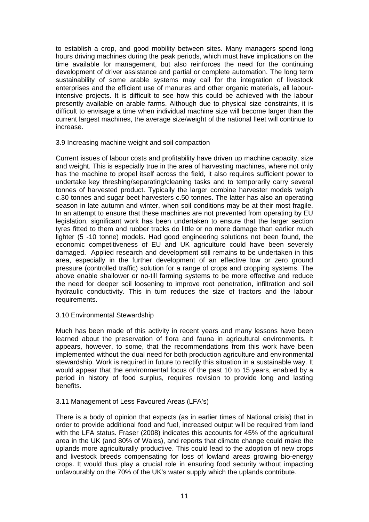to establish a crop, and good mobility between sites. Many managers spend long hours driving machines during the peak periods, which must have implications on the time available for management, but also reinforces the need for the continuing development of driver assistance and partial or complete automation. The long term sustainability of some arable systems may call for the integration of livestock enterprises and the efficient use of manures and other organic materials, all labourintensive projects. It is difficult to see how this could be achieved with the labour presently available on arable farms. Although due to physical size constraints, it is difficult to envisage a time when individual machine size will become larger than the current largest machines, the average size/weight of the national fleet will continue to increase.

# 3.9 Increasing machine weight and soil compaction

Current issues of labour costs and profitability have driven up machine capacity, size and weight. This is especially true in the area of harvesting machines, where not only has the machine to propel itself across the field, it also requires sufficient power to undertake key threshing/separating/cleaning tasks and to temporarily carry several tonnes of harvested product. Typically the larger combine harvester models weigh c.30 tonnes and sugar beet harvesters c.50 tonnes. The latter has also an operating season in late autumn and winter, when soil conditions may be at their most fragile. In an attempt to ensure that these machines are not prevented from operating by EU legislation, significant work has been undertaken to ensure that the larger section tyres fitted to them and rubber tracks do little or no more damage than earlier much lighter (5 -10 tonne) models. Had good engineering solutions not been found, the economic competitiveness of EU and UK agriculture could have been severely damaged. Applied research and development still remains to be undertaken in this area, especially in the further development of an effective low or zero ground pressure (controlled traffic) solution for a range of crops and cropping systems. The above enable shallower or no-till farming systems to be more effective and reduce the need for deeper soil loosening to improve root penetration, infiltration and soil hydraulic conductivity. This in turn reduces the size of tractors and the labour requirements.

# 3.10 Environmental Stewardship

Much has been made of this activity in recent years and many lessons have been learned about the preservation of flora and fauna in agricultural environments. It appears, however, to some, that the recommendations from this work have been implemented without the dual need for both production agriculture and environmental stewardship. Work is required in future to rectify this situation in a sustainable way. It would appear that the environmental focus of the past 10 to 15 years, enabled by a period in history of food surplus, requires revision to provide long and lasting benefits.

# 3.11 Management of Less Favoured Areas (LFA's)

There is a body of opinion that expects (as in earlier times of National crisis) that in order to provide additional food and fuel, increased output will be required from land with the LFA status. Fraser (2008) indicates this accounts for 45% of the agricultural area in the UK (and 80% of Wales), and reports that climate change could make the uplands more agriculturally productive. This could lead to the adoption of new crops and livestock breeds compensating for loss of lowland areas growing bio-energy crops. It would thus play a crucial role in ensuring food security without impacting unfavourably on the 70% of the UK's water supply which the uplands contribute.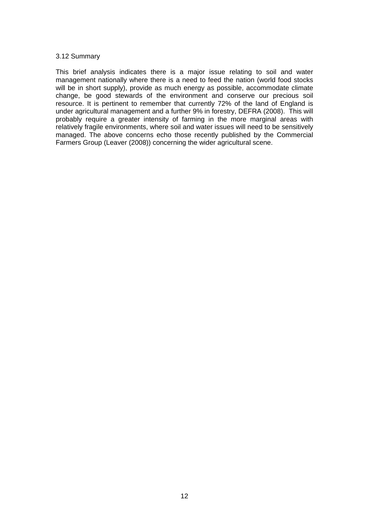## 3.12 Summary

This brief analysis indicates there is a major issue relating to soil and water management nationally where there is a need to feed the nation (world food stocks will be in short supply), provide as much energy as possible, accommodate climate change, be good stewards of the environment and conserve our precious soil resource. It is pertinent to remember that currently 72% of the land of England is under agricultural management and a further 9% in forestry, DEFRA (2008). This will probably require a greater intensity of farming in the more marginal areas with relatively fragile environments, where soil and water issues will need to be sensitively managed. The above concerns echo those recently published by the Commercial Farmers Group (Leaver (2008)) concerning the wider agricultural scene.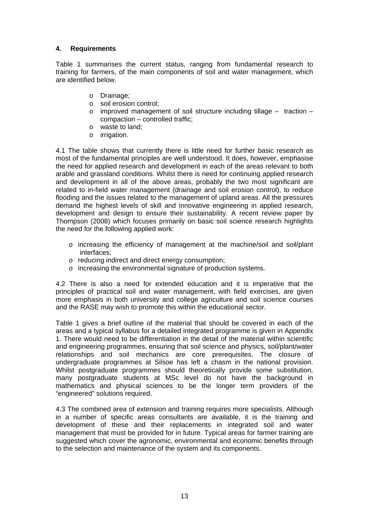# **4. Requirements**

Table 1 summarises the current status, ranging from fundamental research to training for farmers, of the main components of soil and water management, which are identified below.

- o Drainage;
- o soil erosion control;
- $\circ$  improved management of soil structure including tillage traction compaction – controlled traffic;
- o waste to land;
- o irrigation.

4.1 The table shows that currently there is little need for further basic research as most of the fundamental principles are well understood. It does, however, emphasise the need for applied research and development in each of the areas relevant to both arable and grassland conditions. Whilst there is need for continuing applied research and development in all of the above areas, probably the two most significant are related to in-field water management (drainage and soil erosion control), to reduce flooding and the issues related to the management of upland areas. All the pressures demand the highest levels of skill and innovative engineering in applied research, development and design to ensure their sustainability. A recent review paper by Thompson (2008) which focuses primarily on basic soil science research highlights the need for the following applied work:

- o increasing the efficiency of management at the machine/soil and soil/plant interfaces;
- o reducing indirect and direct energy consumption;
- o increasing the environmental signature of production systems.

4.2 There is also a need for extended education and it is imperative that the principles of practical soil and water management, with field exercises, are given more emphasis in both university and college agriculture and soil science courses and the RASE may wish to promote this within the educational sector.

Table 1 gives a brief outline of the material that should be covered in each of the areas and a typical syllabus for a detailed integrated programme is given in Appendix 1. There would need to be differentiation in the detail of the material within scientific and engineering programmes, ensuring that soil science and physics, soil/plant/water relationships and soil mechanics are core prerequisites. The closure of undergraduate programmes at Silsoe has left a chasm in the national provision. Whilst postgraduate programmes should theoretically provide some substitution, many postgraduate students at MSc level do not have the background in mathematics and physical sciences to be the longer term providers of the "engineered" solutions required.

4.3 The combined area of extension and training requires more specialists. Although in a number of specific areas consultants are available, it is the training and development of these and their replacements in integrated soil and water management that must be provided for in future. Typical areas for farmer training are suggested which cover the agronomic, environmental and economic benefits through to the selection and maintenance of the system and its components.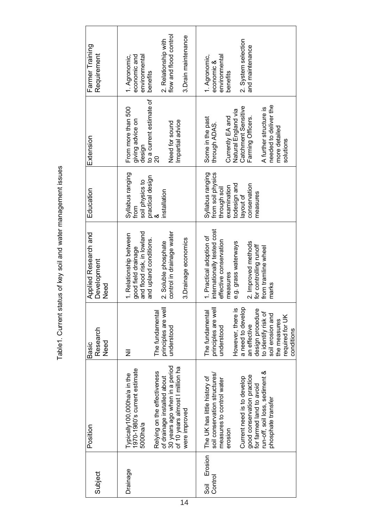| ent status of key soil and water management issues |
|----------------------------------------------------|
|                                                    |
|                                                    |
| <br> <br> <br> <br> <br> <br>(                     |
| $\frac{1}{2}$                                      |

| Subject                   | Position                                                                                                                                                                                                                                              | Research<br><b>Need</b><br><b>Basic</b>                                                                                                                                                                                        | Applied Research and<br>Development<br>Need                                                                                                                                                            | Education                                                                                                                     | Extension                                                                                                                                                                                                 | Farmer Training<br>Requirement                                                                                                       |
|---------------------------|-------------------------------------------------------------------------------------------------------------------------------------------------------------------------------------------------------------------------------------------------------|--------------------------------------------------------------------------------------------------------------------------------------------------------------------------------------------------------------------------------|--------------------------------------------------------------------------------------------------------------------------------------------------------------------------------------------------------|-------------------------------------------------------------------------------------------------------------------------------|-----------------------------------------------------------------------------------------------------------------------------------------------------------------------------------------------------------|--------------------------------------------------------------------------------------------------------------------------------------|
| Drainage                  | 30 years ago when in a period<br>of 10 years almost I million ha<br>Typically100,000ha/a in the<br>1970-1980's current estimate<br>Relying on the effectiveness<br>of drainage installed about<br>were improved<br>5000ha/a                           | principles are well<br>The fundamental<br>understood<br>$\bar{\bar{z}}$                                                                                                                                                        | control in drainage water<br>and flood risk, in lowland<br>1. Relationship between<br>3. Drainage economics<br>and upland conditions.<br>2. Soluble phosphate<br>good field drainage                   | Syllabus ranging<br>practical design<br>soil physics to<br>installation<br>from                                               | to a current estimate of<br>From more than 500<br>giving advice on<br>Impartial advice<br>Need for sound<br>design<br>$\overline{20}$                                                                     | flow and flood control<br>3. Drain maintenance<br>2. Relationship with<br>environmental<br>economic and<br>1. Agronomic,<br>benefits |
| Erosion<br>Control<br>sai | run-off, soil loss, sediment &<br>soil conservation structures/<br>good conservation practice<br>Current need is to develop<br>The UK has little history of<br>measures to control water<br>for farmed land to avoid<br>phosphate transfer<br>erosion | principles are well<br>a need to develop<br>However, there is<br>design procedure<br>The fundamental<br>to identify risk of<br>soil erosion and<br>required for UK<br>the measures<br>an effective<br>understood<br>conditions | internationally tested cost<br>1. Practical adoption of<br>effective conservation<br>2. Improved methods<br>e.g. grass waterways<br>for controlling runoff<br>from tramline wheel<br>measures<br>marks | from soil physics<br>Syllabus ranging<br>todesign and<br>conservation<br>examination<br>through soil<br>measures<br>layout of | needed to deliver the<br>Catchment Sensitive<br>A further structure is<br>Natural England via<br>Currently EA and<br>Farming Officers.<br>Some in the past<br>through ADAS.<br>more detailed<br>solutions | 2. System selection<br>and maintenance<br>1. Agronomic,<br>environmental<br>economic &<br>benefits                                   |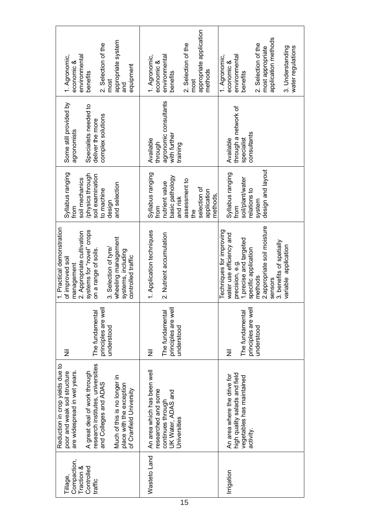| appropriate system<br>2. Selection of the<br>environmental<br>1. Agronomic,<br>economic &<br>equipment<br>benefits<br>most<br>and                                                                                                                                                    | appropriate application<br>2. Selection of the<br>1. Agronomic,<br>environmental<br>economic &<br>methods<br>benefits<br>most                | application methods<br>2. Selection of the<br>water regulations<br>3. Understanding<br>most appropriate<br>environmental<br>1. Agronomic,<br>economic &<br>benefits                                                                |
|--------------------------------------------------------------------------------------------------------------------------------------------------------------------------------------------------------------------------------------------------------------------------------------|----------------------------------------------------------------------------------------------------------------------------------------------|------------------------------------------------------------------------------------------------------------------------------------------------------------------------------------------------------------------------------------|
| Some still provided by<br>Specialists needed to<br>complex solutions<br>deliver the more<br>agronomists                                                                                                                                                                              | agronomic consultants<br>with further<br>Available<br>through<br>training                                                                    | through a network of<br>consultants<br>Available<br>specialist                                                                                                                                                                     |
| Syllabus ranging<br>/physics through<br>soil examination<br>soil mechanics<br>and selection<br>to machine<br>design<br>from                                                                                                                                                          | Syllabus ranging<br>basic pathology<br>assessment to<br>nutrient value<br>selection of<br>application<br>methods,<br>and risk<br>from<br>the | design and layout<br>Syllabus ranging<br>soil/plant/water<br>relations to<br>system<br>from                                                                                                                                        |
| 1. Practical demonstration<br>systems for "novel" crops<br>2. Appropriate cultivation<br>wheeling management<br>3. Selection of tyre/<br>on a range of soils.<br>systems, including<br>controlled traffic<br>of improved soil<br>management                                          | 1. Application techniques<br>2. Nutrient accumulation                                                                                        | 2.appropriate soil moisture<br>Techniques for improving<br>water use efficiency and<br>1.precise and targeted<br>3. benefits of spatially<br>variable application<br>specific application<br>precision, e.g.<br>methods<br>sensors |
| principles are well<br>The fundamental<br>understood<br>Ξ                                                                                                                                                                                                                            | principles are well<br>The fundamental<br>understood<br>Ξ                                                                                    | principles are well<br>The fundamental<br>understood<br>Ξ                                                                                                                                                                          |
| research institutes, universities<br>Reduction in crop yields due to<br>A great deal of work through<br>are widespread in wet years.<br>poor and weak soil structure<br>Much of this is no longer in<br>and Colleges and ADAS<br>place with the exception<br>of Cranfield University | An area which has been well<br>researched and some<br>UK Water, ADAS and<br>continues through<br>Universities                                | high quality salads and field<br>An area where the drive for<br>vegetables has maintained<br>activity.                                                                                                                             |
| Compaction,<br>Traction &<br>Controlled<br>Tillage,<br>traffic                                                                                                                                                                                                                       | Wasteto Land                                                                                                                                 | Irrigation                                                                                                                                                                                                                         |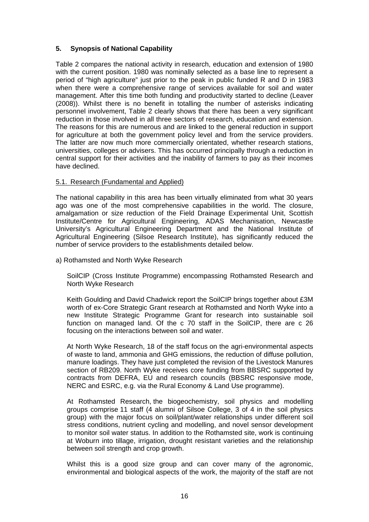# **5. Synopsis of National Capability**

Table 2 compares the national activity in research, education and extension of 1980 with the current position. 1980 was nominally selected as a base line to represent a period of "high agriculture" just prior to the peak in public funded R and D in 1983 when there were a comprehensive range of services available for soil and water management. After this time both funding and productivity started to decline (Leaver (2008)). Whilst there is no benefit in totalling the number of asterisks indicating personnel involvement, Table 2 clearly shows that there has been a very significant reduction in those involved in all three sectors of research, education and extension. The reasons for this are numerous and are linked to the general reduction in support for agriculture at both the government policy level and from the service providers. The latter are now much more commercially orientated, whether research stations, universities, colleges or advisers. This has occurred principally through a reduction in central support for their activities and the inability of farmers to pay as their incomes have declined.

# 5.1. Research (Fundamental and Applied)

The national capability in this area has been virtually eliminated from what 30 years ago was one of the most comprehensive capabilities in the world. The closure, amalgamation or size reduction of the Field Drainage Experimental Unit, Scottish Institute/Centre for Agricultural Engineering, ADAS Mechanisation, Newcastle University's Agricultural Engineering Department and the National Institute of Agricultural Engineering (Silsoe Research Institute), has significantly reduced the number of service providers to the establishments detailed below.

a) Rothamsted and North Wyke Research

SoilCIP (Cross Institute Programme) encompassing Rothamsted Research and North Wyke Research

Keith Goulding and David Chadwick report the SoilCIP brings together about £3M worth of ex-Core Strategic Grant research at Rothamsted and North Wyke into a new Institute Strategic Programme Grant for research into sustainable soil function on managed land. Of the c 70 staff in the SoilCIP, there are c 26 focusing on the interactions between soil and water.

At North Wyke Research, 18 of the staff focus on the agri-environmental aspects of waste to land, ammonia and GHG emissions, the reduction of diffuse pollution, manure loadings. They have just completed the revision of the Livestock Manures section of RB209. North Wyke receives core funding from BBSRC supported by contracts from DEFRA, EU and research councils (BBSRC responsive mode, NERC and ESRC, e.g. via the Rural Economy & Land Use programme).

At Rothamsted Research, the biogeochemistry, soil physics and modelling groups comprise 11 staff (4 alumni of Silsoe College, 3 of 4 in the soil physics group) with the major focus on soil/plant/water relationships under different soil stress conditions, nutrient cycling and modelling, and novel sensor development to monitor soil water status. In addition to the Rothamsted site, work is continuing at Woburn into tillage, irrigation, drought resistant varieties and the relationship between soil strength and crop growth.

Whilst this is a good size group and can cover many of the agronomic, environmental and biological aspects of the work, the majority of the staff are not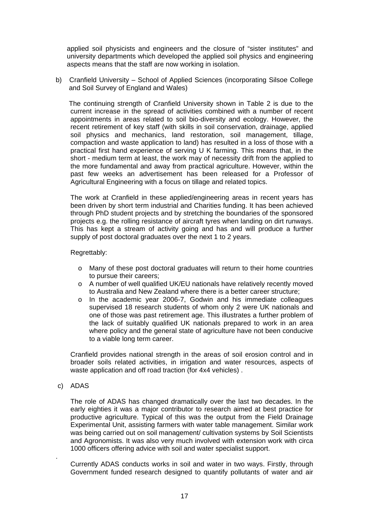applied soil physicists and engineers and the closure of "sister institutes" and university departments which developed the applied soil physics and engineering aspects means that the staff are now working in isolation.

b) Cranfield University – School of Applied Sciences (incorporating Silsoe College and Soil Survey of England and Wales)

 The continuing strength of Cranfield University shown in Table 2 is due to the current increase in the spread of activities combined with a number of recent appointments in areas related to soil bio-diversity and ecology. However, the recent retirement of key staff (with skills in soil conservation, drainage, applied soil physics and mechanics, land restoration, soil management, tillage, compaction and waste application to land) has resulted in a loss of those with a practical first hand experience of serving U K farming. This means that, in the short - medium term at least, the work may of necessity drift from the applied to the more fundamental and away from practical agriculture. However, within the past few weeks an advertisement has been released for a Professor of Agricultural Engineering with a focus on tillage and related topics.

 The work at Cranfield in these applied/engineering areas in recent years has been driven by short term industrial and Charities funding. It has been achieved through PhD student projects and by stretching the boundaries of the sponsored projects e.g. the rolling resistance of aircraft tyres when landing on dirt runways. This has kept a stream of activity going and has and will produce a further supply of post doctoral graduates over the next 1 to 2 years.

# Regrettably:

- o Many of these post doctoral graduates will return to their home countries to pursue their careers;
- o A number of well qualified UK/EU nationals have relatively recently moved to Australia and New Zealand where there is a better career structure;
- o In the academic year 2006-7, Godwin and his immediate colleagues supervised 18 research students of whom only 2 were UK nationals and one of those was past retirement age. This illustrates a further problem of the lack of suitably qualified UK nationals prepared to work in an area where policy and the general state of agriculture have not been conducive to a viable long term career.

 Cranfield provides national strength in the areas of soil erosion control and in broader soils related activities, in irrigation and water resources, aspects of waste application and off road traction (for 4x4 vehicles).

c) ADAS

.

 The role of ADAS has changed dramatically over the last two decades. In the early eighties it was a major contributor to research aimed at best practice for productive agriculture. Typical of this was the output from the Field Drainage Experimental Unit, assisting farmers with water table management. Similar work was being carried out on soil management/ cultivation systems by Soil Scientists and Agronomists. It was also very much involved with extension work with circa 1000 officers offering advice with soil and water specialist support.

 Currently ADAS conducts works in soil and water in two ways. Firstly, through Government funded research designed to quantify pollutants of water and air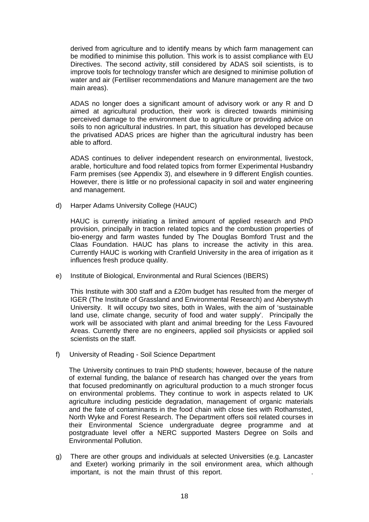derived from agriculture and to identify means by which farm management can be modified to minimise this pollution. This work is to assist compliance with EU Directives. The second activity, still considered by ADAS soil scientists, is to improve tools for technology transfer which are designed to minimise pollution of water and air (Fertiliser recommendations and Manure management are the two main areas).

ADAS no longer does a significant amount of advisory work or any R and D aimed at agricultural production, their work is directed towards minimising perceived damage to the environment due to agriculture or providing advice on soils to non agricultural industries. In part, this situation has developed because the privatised ADAS prices are higher than the agricultural industry has been able to afford.

ADAS continues to deliver independent research on environmental, livestock, arable, horticulture and food related topics from former Experimental Husbandry Farm premises (see Appendix 3), and elsewhere in 9 different English counties. However, there is little or no professional capacity in soil and water engineering and management.

d) Harper Adams University College (HAUC)

 HAUC is currently initiating a limited amount of applied research and PhD provision, principally in traction related topics and the combustion properties of bio-energy and farm wastes funded by The Douglas Bomford Trust and the Claas Foundation. HAUC has plans to increase the activity in this area. Currently HAUC is working with Cranfield University in the area of irrigation as it influences fresh produce quality.

e) Institute of Biological, Environmental and Rural Sciences (IBERS)

This Institute with 300 staff and a £20m budget has resulted from the merger of IGER (The Institute of Grassland and Environmental Research) and Aberystwyth University. It will occupy two sites, both in Wales, with the aim of 'sustainable land use, climate change, security of food and water supply'. Principally the work will be associated with plant and animal breeding for the Less Favoured Areas. Currently there are no engineers, applied soil physicists or applied soil scientists on the staff.

f) University of Reading - Soil Science Department

The University continues to train PhD students; however, because of the nature of external funding, the balance of research has changed over the years from that focused predominantly on agricultural production to a much stronger focus on environmental problems. They continue to work in aspects related to UK agriculture including pesticide degradation, management of organic materials and the fate of contaminants in the food chain with close ties with Rothamsted, North Wyke and Forest Research. The Department offers soil related courses in their Environmental Science undergraduate degree programme and at postgraduate level offer a NERC supported Masters Degree on Soils and Environmental Pollution.

g) There are other groups and individuals at selected Universities (e.g. Lancaster and Exeter) working primarily in the soil environment area, which although important, is not the main thrust of this report.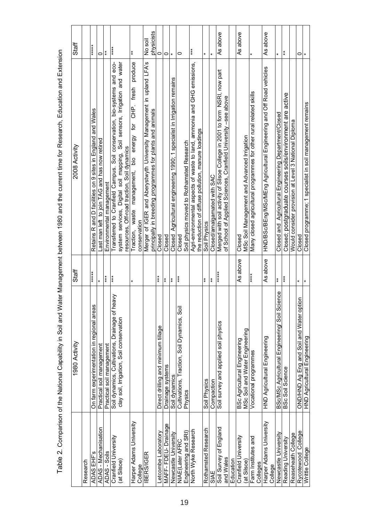Table 2. Comparison of the National Capability in Soil and Water Management between 1980 and the current time for Research, Education and Extension Table 2. Comparison of the National Capability in Soil and Water Management between 1980 and the current time for Research, Education and Extension

|                                         | 1980 Activity                                                                              | Staff             | 2008 Activity                                                                                                                                                                                        | Staff                 |
|-----------------------------------------|--------------------------------------------------------------------------------------------|-------------------|------------------------------------------------------------------------------------------------------------------------------------------------------------------------------------------------------|-----------------------|
| Research                                |                                                                                            |                   |                                                                                                                                                                                                      |                       |
| ADAS EHF'S                              | On farm experimentation in regional areas                                                  | ******            | Retains R and D facilities on 9 sites in England and Wales                                                                                                                                           | ******                |
| ADAS - Mechanisation<br>ADAS - Soils    | Practical soil management                                                                  | $\ast$            | Last man left to join TAG and has now retired                                                                                                                                                        | $\circ$               |
|                                         | Practical soil management                                                                  | $***$             | Environmental management                                                                                                                                                                             | $\ddot{*}$            |
| Cranfield University<br>(at Silsoe)     | Soil dynamics, Cultivations, Drainage of heavy<br>clay soil, Irrigation, Soil conservation | $*$               | system services, Digital soil mapping, Soil sensors, Irrigation and water<br>Transferred to Cranfield Campus. Soil conservation, bio-systems and eco-<br>resources, Off-road traction, Soil dynamics | $***$                 |
| Harper Adams University<br>College      |                                                                                            | $\pmb{\ast}$      | produce<br>CHP. fresh<br>for<br>energy<br>Traction, waste management, bio<br>conservation                                                                                                            | $\pmb{\ast}$          |
| <b>IBERS/IGER</b>                       |                                                                                            |                   | Merger of IGER and Aberystwyth University Management in upland LFA's<br>principally in breeding programmes for plants and animals                                                                    | physicists<br>No soil |
| Letcombe Laboratory                     | Direct drilling and minimum tillage                                                        | ***               | Closed                                                                                                                                                                                               | 0                     |
| MAFF-FDEU-Drainage                      | Drainage systems                                                                           | $\ddagger$        | Closed                                                                                                                                                                                               | 0                     |
| Newcastle University                    | Soil dynamics                                                                              | $***$             | Closed Agricultural engineering 1990; 1 specialist in Irrigation remains                                                                                                                             | $\ast$                |
| Engineering and SRI)<br>NIAE(Later AFRC | Cultivations, Traction, Soil Dynamics, Soil<br>Physics                                     | $***$             | Soil physics moved to Rothamsted Research<br>Closed                                                                                                                                                  | 0                     |
|                                         |                                                                                            |                   |                                                                                                                                                                                                      | ***                   |
| North Wyke Research                     |                                                                                            |                   | Agri-environmental aspects of waste to land, ammonia and GHG emissions,<br>the reduction of diffuse pollution, manure loadings                                                                       |                       |
| Rothamsted Research                     | Soil Physics                                                                               | $\ast$            | Soil Physics                                                                                                                                                                                         | ¥                     |
| SIAE                                    | Compaction                                                                                 | $\ddot{*}$        | Closed/amalgamated with SAC                                                                                                                                                                          | ¥                     |
| Soil Survey of England<br>and Wales     | Soil survey and applied soil physics                                                       | *****             | Merged with soil activity of Silsoe College in 2001 to form NSRI, now part<br>of School of Applied Sciences, Cranfield University -see above                                                         | As above              |
| Education                               |                                                                                            |                   |                                                                                                                                                                                                      |                       |
| Cranfield University<br>at Silsoe)      | MSc Soil and Water Engineering<br>BSc Agricultural Engineering                             | As above          | MSc Soil Management and Advanced Irrigation<br>Closed                                                                                                                                                | As above              |
| Farm Institutes and<br>Colleges         | Vocational programmes                                                                      | ****              | Many closed agricultural programmes for other rural related skills                                                                                                                                   |                       |
| Harper Adams University<br>College      | HND Agricultural Engineering                                                               | As above          | ANDOSSER Corresponding and the statement of the services of the corresponding on the set of the services of the services                                                                             | As above              |
| Newcastle University                    | BSc/MSc Agricultural Engineering/ Soil Science                                             | $\stackrel{*}{*}$ | Closed and $\,$ Agricultural Engineering Department/Closed                                                                                                                                           | $\ast$                |
| Reading University                      | <b>BSc Soil Science</b>                                                                    | $***$             | Closed; postgraduate courses soils/environment are active                                                                                                                                            | $\ast$                |
| Reaseheath College                      |                                                                                            |                   | Would consider provision at Level 3 National Diploma                                                                                                                                                 |                       |
| Rycotewood College                      | OND/HND Ag Eng and Soil and Water option                                                   | $\ast$            | Closed                                                                                                                                                                                               | 0                     |
| Writtle College                         | HND Agricultural Engineering                                                               |                   | Closed programme; 1 specialist in soil management remains                                                                                                                                            |                       |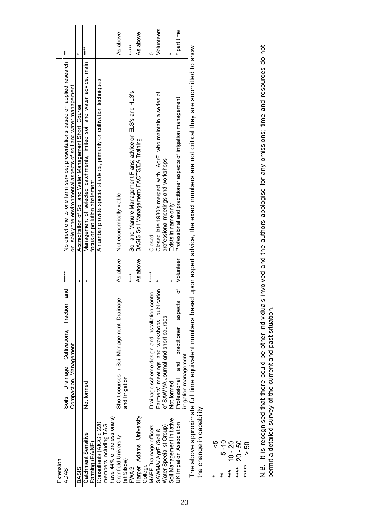| Extension                  |                                                      |           |                                                                                                                                           |             |
|----------------------------|------------------------------------------------------|-----------|-------------------------------------------------------------------------------------------------------------------------------------------|-------------|
| <b>ADAS</b>                | and<br>Soils, Drainage, Cultivations, Traction       | *****     | No direct one to one farm service; presentations based on applied research                                                                | $\ddot{*}$  |
|                            | Compaction, Management                               |           | on solely the environmental aspects of soil and water management                                                                          |             |
| <b>BASIS</b>               |                                                      | ı         | Accreditation of Soil and Water Management Short Course                                                                                   |             |
| Catchment Sensitive        | Not formed                                           |           | Management of selected catchments, limited soil and water advice, main                                                                    | *****       |
| Farming (EA/NE)            |                                                      |           | focus on pollution abatement                                                                                                              |             |
| Consultants (AICC c 220    |                                                      |           | A number provide specialist advice, primarily on cultivation techniques                                                                   |             |
| members including TAG      |                                                      |           |                                                                                                                                           |             |
| have 44% of professionals) |                                                      |           |                                                                                                                                           |             |
| Cranfield University       | Short courses in Soil Management, Drainage           | As above  | Not economically viable                                                                                                                   | As above    |
| (at Silsoe)                | and Irrigation                                       |           |                                                                                                                                           |             |
| FWAG                       |                                                      | $***$     | Soil and Manure Management Plans; advice on ELS's and HLS's                                                                               | *****       |
| Harper Adams University    |                                                      | As above  | BASIS Soil Management/ FACTS/EA Training                                                                                                  | As above    |
| College                    |                                                      |           |                                                                                                                                           |             |
| MAFF Drainage officers     | Drainage scheme design and installation control      | $*****$   | Closed                                                                                                                                    |             |
| SAWMA/IAgrE (Soil &        | Farmers' meetings and workshops, publication         | ×         | Closed late 1980's merged with IAgrE who maintain a series of                                                                             | Volunteers  |
| Water Specialist Group)    | of SAWMA Journal and short courses                   |           | professional meetings and workshops                                                                                                       |             |
| Soil Management Initiative | Not formed                                           |           | Exists in name only                                                                                                                       | ¥           |
| UK Irrigation Association  | of<br>aspects<br>practitioner<br>and<br>Professional | Volunteer | Professional and practitioner aspects of irrigation management                                                                            | * part time |
|                            | irrigation management                                |           |                                                                                                                                           |             |
|                            |                                                      |           | The above approximate full time equivalent numbers based upon expert advice the exact numbers are not critical they are submitted to show |             |

The above approximate full time equivalent numbers based upon expert advice, the exact numbers are not critical they are submitted to show The above approximate<br>the change in capability the change in capability

\* <5

\*\* 5 -10  $*** 10 - 20$ 

\*\*\*\* 20 - 50

\*<br>
\*\*\* 5-10<br>
\*\*\*\* 10-20<br>
\*\*\*\* 20-50<br>
\*\*\*\*\* > 50<br>
\*\*\*\*\* \*\*\*\*\* > 50

N.B. It is recognised that there could be other individuals involved and the authors apologise for any omissions; time and resources do not<br>permit a detailed survey of the current and past situation. N.B. It is recognised that there could be other individuals involved and the authors apologise for any omissions; time and resources do not permit a detailed survey of the current and past situation.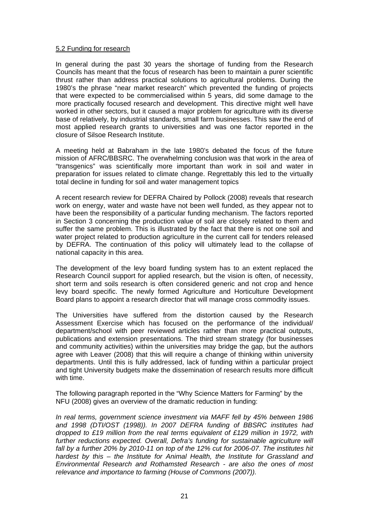#### 5.2 Funding for research

In general during the past 30 years the shortage of funding from the Research Councils has meant that the focus of research has been to maintain a purer scientific thrust rather than address practical solutions to agricultural problems. During the 1980's the phrase "near market research" which prevented the funding of projects that were expected to be commercialised within 5 years, did some damage to the more practically focused research and development. This directive might well have worked in other sectors, but it caused a major problem for agriculture with its diverse base of relatively, by industrial standards, small farm businesses. This saw the end of most applied research grants to universities and was one factor reported in the closure of Silsoe Research Institute.

A meeting held at Babraham in the late 1980's debated the focus of the future mission of AFRC/BBSRC. The overwhelming conclusion was that work in the area of "transgenics" was scientifically more important than work in soil and water in preparation for issues related to climate change. Regrettably this led to the virtually total decline in funding for soil and water management topics

A recent research review for DEFRA Chaired by Pollock (2008) reveals that research work on energy, water and waste have not been well funded, as they appear not to have been the responsibility of a particular funding mechanism. The factors reported in Section 3 concerning the production value of soil are closely related to them and suffer the same problem. This is illustrated by the fact that there is not one soil and water project related to production agriculture in the current call for tenders released by DEFRA. The continuation of this policy will ultimately lead to the collapse of national capacity in this area.

The development of the levy board funding system has to an extent replaced the Research Council support for applied research, but the vision is often, of necessity, short term and soils research is often considered generic and not crop and hence levy board specific. The newly formed Agriculture and Horticulture Development Board plans to appoint a research director that will manage cross commodity issues.

The Universities have suffered from the distortion caused by the Research Assessment Exercise which has focused on the performance of the individual/ department/school with peer reviewed articles rather than more practical outputs, publications and extension presentations. The third stream strategy (for businesses and community activities) within the universities may bridge the gap, but the authors agree with Leaver (2008) that this will require a change of thinking within university departments. Until this is fully addressed, lack of funding within a particular project and tight University budgets make the dissemination of research results more difficult with time.

The following paragraph reported in the "Why Science Matters for Farming" by the NFU (2008) gives an overview of the dramatic reduction in funding:

*In real terms, government science investment via MAFF fell by 45% between 1986 and 1998 (DTI/OST (1998)). In 2007 DEFRA funding of BBSRC institutes had dropped to £19 million from the real terms equivalent of £129 million in 1972, with*  further reductions expected. Overall, Defra's funding for sustainable agriculture will *fall by a further 20% by 2010-11 on top of the 12% cut for 2006-07. The institutes hit hardest by this – the Institute for Animal Health, the Institute for Grassland and Environmental Research and Rothamsted Research - are also the ones of most relevance and importance to farming (House of Commons (2007)).*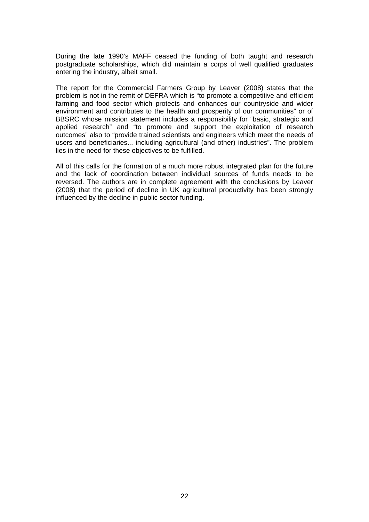During the late 1990's MAFF ceased the funding of both taught and research postgraduate scholarships, which did maintain a corps of well qualified graduates entering the industry, albeit small.

The report for the Commercial Farmers Group by Leaver (2008) states that the problem is not in the remit of DEFRA which is "to promote a competitive and efficient farming and food sector which protects and enhances our countryside and wider environment and contributes to the health and prosperity of our communities" or of BBSRC whose mission statement includes a responsibility for "basic, strategic and applied research" and "to promote and support the exploitation of research outcomes" also to "provide trained scientists and engineers which meet the needs of users and beneficiaries... including agricultural (and other) industries". The problem lies in the need for these objectives to be fulfilled.

All of this calls for the formation of a much more robust integrated plan for the future and the lack of coordination between individual sources of funds needs to be reversed. The authors are in complete agreement with the conclusions by Leaver (2008) that the period of decline in UK agricultural productivity has been strongly influenced by the decline in public sector funding.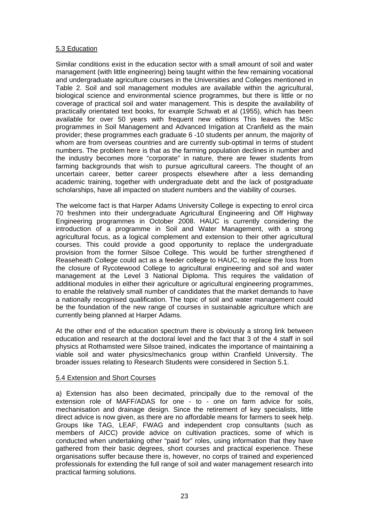# 5.3 Education

Similar conditions exist in the education sector with a small amount of soil and water management (with little engineering) being taught within the few remaining vocational and undergraduate agriculture courses in the Universities and Colleges mentioned in Table 2. Soil and soil management modules are available within the agricultural, biological science and environmental science programmes, but there is little or no coverage of practical soil and water management. This is despite the availability of practically orientated text books, for example Schwab et al (1955), which has been available for over 50 years with frequent new editions This leaves the MSc programmes in Soil Management and Advanced Irrigation at Cranfield as the main provider; these programmes each graduate 6 -10 students per annum, the majority of whom are from overseas countries and are currently sub-optimal in terms of student numbers. The problem here is that as the farming population declines in number and the industry becomes more "corporate" in nature, there are fewer students from farming backgrounds that wish to pursue agricultural careers. The thought of an uncertain career, better career prospects elsewhere after a less demanding academic training, together with undergraduate debt and the lack of postgraduate scholarships, have all impacted on student numbers and the viability of courses.

The welcome fact is that Harper Adams University College is expecting to enrol circa 70 freshmen into their undergraduate Agricultural Engineering and Off Highway Engineering programmes in October 2008. HAUC is currently considering the introduction of a programme in Soil and Water Management, with a strong agricultural focus, as a logical complement and extension to their other agricultural courses. This could provide a good opportunity to replace the undergraduate provision from the former Silsoe College. This would be further strengthened if Reaseheath College could act as a feeder college to HAUC, to replace the loss from the closure of Rycotewood College to agricultural engineering and soil and water management at the Level 3 National Diploma. This requires the validation of additional modules in either their agriculture or agricultural engineering programmes, to enable the relatively small number of candidates that the market demands to have a nationally recognised qualification. The topic of soil and water management could be the foundation of the new range of courses in sustainable agriculture which are currently being planned at Harper Adams.

At the other end of the education spectrum there is obviously a strong link between education and research at the doctoral level and the fact that 3 of the 4 staff in soil physics at Rothamsted were Silsoe trained, indicates the importance of maintaining a viable soil and water physics/mechanics group within Cranfield University. The broader issues relating to Research Students were considered in Section 5.1.

#### 5.4 Extension and Short Courses

a) Extension has also been decimated, principally due to the removal of the extension role of MAFF/ADAS for one - to - one on farm advice for soils, mechanisation and drainage design. Since the retirement of key specialists, little direct advice is now given, as there are no affordable means for farmers to seek help. Groups like TAG, LEAF, FWAG and independent crop consultants (such as members of AICC) provide advice on cultivation practices, some of which is conducted when undertaking other "paid for" roles, using information that they have gathered from their basic degrees, short courses and practical experience. These organisations suffer because there is, however, no corps of trained and experienced professionals for extending the full range of soil and water management research into practical farming solutions.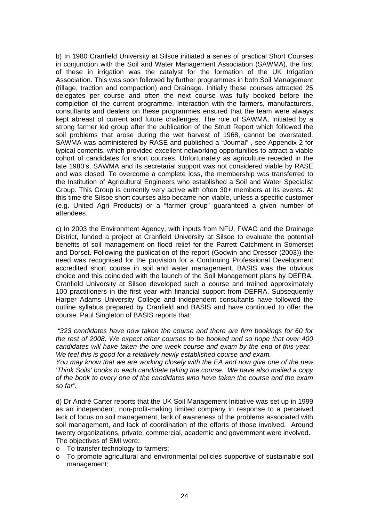b) In 1980 Cranfield University at Silsoe initiated a series of practical Short Courses in conjunction with the Soil and Water Management Association (SAWMA), the first of these in irrigation was the catalyst for the formation of the UK Irrigation Association. This was soon followed by further programmes in both Soil Management (tillage, traction and compaction) and Drainage. Initially these courses attracted 25 delegates per course and often the next course was fully booked before the completion of the current programme. Interaction with the farmers, manufacturers, consultants and dealers on these programmes ensured that the team were always kept abreast of current and future challenges. The role of SAWMA, initiated by a strong farmer led group after the publication of the Strutt Report which followed the soil problems that arose during the wet harvest of 1968, cannot be overstated. SAWMA was administered by RASE and published a "Journal" , see Appendix 2 for typical contents, which provided excellent networking opportunities to attract a viable cohort of candidates for short courses. Unfortunately as agriculture receded in the late 1980's, SAWMA and its secretarial support was not considered viable by RASE and was closed. To overcome a complete loss, the membership was transferred to the Institution of Agricultural Engineers who established a Soil and Water Specialist Group. This Group is currently very active with often 30+ members at its events. At this time the Silsoe short courses also became non viable, unless a specific customer (e.g. United Agri Products) or a "farmer group" guaranteed a given number of attendees.

c) In 2003 the Environment Agency, with inputs from NFU, FWAG and the Drainage District, funded a project at Cranfield University at Silsoe to evaluate the potential benefits of soil management on flood relief for the Parrett Catchment in Somerset and Dorset. Following the publication of the report (Godwin and Dresser (2003)) the need was recognised for the provision for a Continuing Professional Development accredited short course in soil and water management. BASIS was the obvious choice and this coincided with the launch of the Soil Management plans by DEFRA. Cranfield University at Silsoe developed such a course and trained approximately 100 practitioners in the first year with financial support from DEFRA. Subsequently Harper Adams University College and independent consultants have followed the outline syllabus prepared by Cranfield and BASIS and have continued to offer the course. Paul Singleton of BASIS reports that:

*"323 candidates have now taken the course and there are firm bookings for 60 for the rest of 2008. We expect other courses to be booked and so hope that over 400 candidates will have taken the one week course and exam by the end of this year. We feel this is good for a relatively newly established course and exam.* 

*You may know that we are working closely with the EA and now give one of the new 'Think Soils' books to each candidate taking the course. We have also mailed a copy of the book to every one of the candidates who have taken the course and the exam so far".* 

d) Dr André Carter reports that the UK Soil Management Initiative was set up in 1999 as an independent, non-profit-making limited company in response to a perceived lack of focus on soil management, lack of awareness of the problems associated with soil management, and lack of coordination of the efforts of those involved. Around twenty organizations, private, commercial, academic and government were involved. The objectives of SMI were:

- o To transfer technology to farmers;
- o To promote agricultural and environmental policies supportive of sustainable soil management;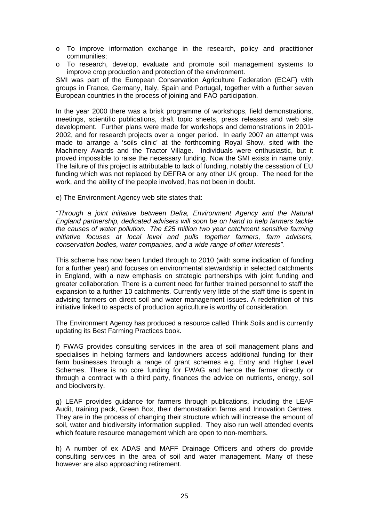- o To improve information exchange in the research, policy and practitioner communities;
- o To research, develop, evaluate and promote soil management systems to improve crop production and protection of the environment.

SMI was part of the European Conservation Agriculture Federation (ECAF) with groups in France, Germany, Italy, Spain and Portugal, together with a further seven European countries in the process of joining and FAO participation.

In the year 2000 there was a brisk programme of workshops, field demonstrations, meetings, scientific publications, draft topic sheets, press releases and web site development. Further plans were made for workshops and demonstrations in 2001- 2002, and for research projects over a longer period. In early 2007 an attempt was made to arrange a 'soils clinic' at the forthcoming Royal Show, sited with the Machinery Awards and the Tractor Village. Individuals were enthusiastic, but it proved impossible to raise the necessary funding. Now the SMI exists in name only. The failure of this project is attributable to lack of funding, notably the cessation of EU funding which was not replaced by DEFRA or any other UK group. The need for the work, and the ability of the people involved, has not been in doubt.

e) The Environment Agency web site states that:

*"Through a joint initiative between Defra, Environment Agency and the Natural England partnership, dedicated advisers will soon be on hand to help farmers tackle the causes of water pollution. The £25 million two year catchment sensitive farming initiative focuses at local level and pulls together farmers, farm advisers, conservation bodies, water companies, and a wide range of other interests".* 

This scheme has now been funded through to 2010 (with some indication of funding for a further year) and focuses on environmental stewardship in selected catchments in England, with a new emphasis on strategic partnerships with joint funding and greater collaboration. There is a current need for further trained personnel to staff the expansion to a further 10 catchments. Currently very little of the staff time is spent in advising farmers on direct soil and water management issues. A redefinition of this initiative linked to aspects of production agriculture is worthy of consideration.

The Environment Agency has produced a resource called Think Soils and is currently updating its Best Farming Practices book.

f) FWAG provides consulting services in the area of soil management plans and specialises in helping farmers and landowners access additional funding for their farm businesses through a range of grant schemes e.g. Entry and Higher Level Schemes. There is no core funding for FWAG and hence the farmer directly or through a contract with a third party, finances the advice on nutrients, energy, soil and biodiversity.

g) LEAF provides guidance for farmers through publications, including the LEAF Audit, training pack, Green Box, their demonstration farms and Innovation Centres. They are in the process of changing their structure which will increase the amount of soil, water and biodiversity information supplied. They also run well attended events which feature resource management which are open to non-members.

h) A number of ex ADAS and MAFF Drainage Officers and others do provide consulting services in the area of soil and water management. Many of these however are also approaching retirement.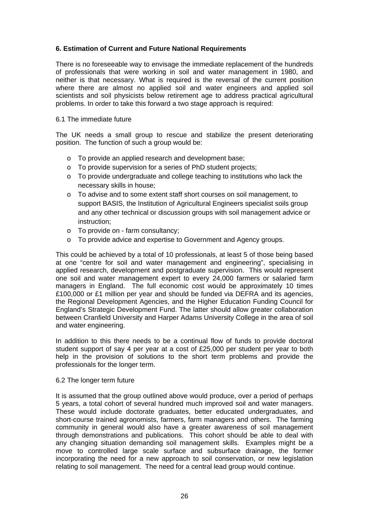# **6. Estimation of Current and Future National Requirements**

There is no foreseeable way to envisage the immediate replacement of the hundreds of professionals that were working in soil and water management in 1980, and neither is that necessary. What is required is the reversal of the current position where there are almost no applied soil and water engineers and applied soil scientists and soil physicists below retirement age to address practical agricultural problems. In order to take this forward a two stage approach is required:

# 6.1 The immediate future

The UK needs a small group to rescue and stabilize the present deteriorating position. The function of such a group would be:

- o To provide an applied research and development base;
- o To provide supervision for a series of PhD student projects;
- o To provide undergraduate and college teaching to institutions who lack the necessary skills in house;
- o To advise and to some extent staff short courses on soil management, to support BASIS, the Institution of Agricultural Engineers specialist soils group and any other technical or discussion groups with soil management advice or instruction;
- o To provide on farm consultancy;
- o To provide advice and expertise to Government and Agency groups.

This could be achieved by a total of 10 professionals, at least 5 of those being based at one "centre for soil and water management and engineering", specialising in applied research, development and postgraduate supervision. This would represent one soil and water management expert to every 24,000 farmers or salaried farm managers in England. The full economic cost would be approximately 10 times £100,000 or £1 million per year and should be funded via DEFRA and its agencies, the Regional Development Agencies, and the Higher Education Funding Council for England's Strategic Development Fund. The latter should allow greater collaboration between Cranfield University and Harper Adams University College in the area of soil and water engineering.

In addition to this there needs to be a continual flow of funds to provide doctoral student support of say 4 per year at a cost of £25,000 per student per year to both help in the provision of solutions to the short term problems and provide the professionals for the longer term.

#### 6.2 The longer term future

It is assumed that the group outlined above would produce, over a period of perhaps 5 years, a total cohort of several hundred much improved soil and water managers. These would include doctorate graduates, better educated undergraduates, and short-course trained agronomists, farmers, farm managers and others. The farming community in general would also have a greater awareness of soil management through demonstrations and publications. This cohort should be able to deal with any changing situation demanding soil management skills. Examples might be a move to controlled large scale surface and subsurface drainage, the former incorporating the need for a new approach to soil conservation, or new legislation relating to soil management. The need for a central lead group would continue.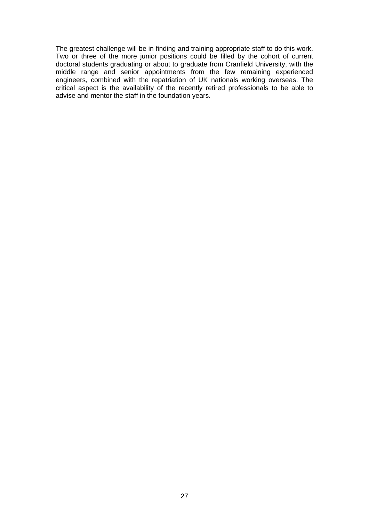The greatest challenge will be in finding and training appropriate staff to do this work. Two or three of the more junior positions could be filled by the cohort of current doctoral students graduating or about to graduate from Cranfield University, with the middle range and senior appointments from the few remaining experienced engineers, combined with the repatriation of UK nationals working overseas. The critical aspect is the availability of the recently retired professionals to be able to advise and mentor the staff in the foundation years.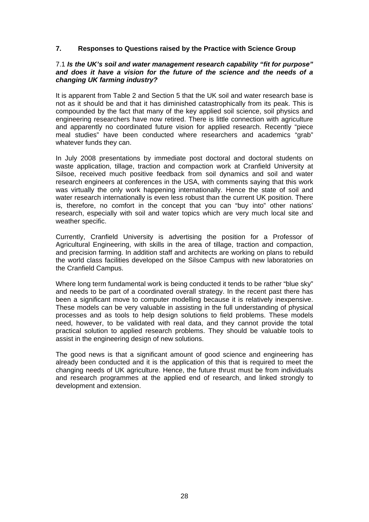# **7. Responses to Questions raised by the Practice with Science Group**

#### 7.1 *Is the UK's soil and water management research capability "fit for purpose" and does it have a vision for the future of the science and the needs of a changing UK farming industry?*

It is apparent from Table 2 and Section 5 that the UK soil and water research base is not as it should be and that it has diminished catastrophically from its peak. This is compounded by the fact that many of the key applied soil science, soil physics and engineering researchers have now retired. There is little connection with agriculture and apparently no coordinated future vision for applied research. Recently "piece meal studies" have been conducted where researchers and academics "grab" whatever funds they can.

In July 2008 presentations by immediate post doctoral and doctoral students on waste application, tillage, traction and compaction work at Cranfield University at Silsoe, received much positive feedback from soil dynamics and soil and water research engineers at conferences in the USA, with comments saying that this work was virtually the only work happening internationally. Hence the state of soil and water research internationally is even less robust than the current UK position. There is, therefore, no comfort in the concept that you can "buy into" other nations' research, especially with soil and water topics which are very much local site and weather specific.

Currently, Cranfield University is advertising the position for a Professor of Agricultural Engineering, with skills in the area of tillage, traction and compaction, and precision farming. In addition staff and architects are working on plans to rebuild the world class facilities developed on the Silsoe Campus with new laboratories on the Cranfield Campus.

Where long term fundamental work is being conducted it tends to be rather "blue sky" and needs to be part of a coordinated overall strategy. In the recent past there has been a significant move to computer modelling because it is relatively inexpensive. These models can be very valuable in assisting in the full understanding of physical processes and as tools to help design solutions to field problems. These models need, however, to be validated with real data, and they cannot provide the total practical solution to applied research problems. They should be valuable tools to assist in the engineering design of new solutions.

The good news is that a significant amount of good science and engineering has already been conducted and it is the application of this that is required to meet the changing needs of UK agriculture. Hence, the future thrust must be from individuals and research programmes at the applied end of research, and linked strongly to development and extension.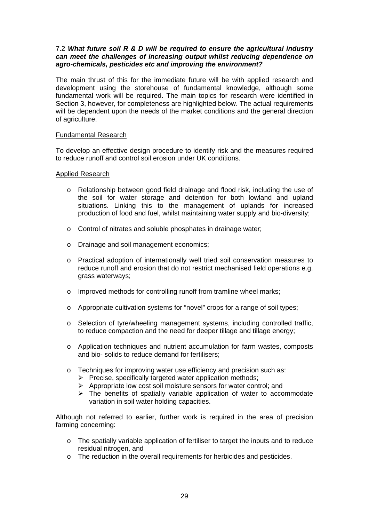# 7.2 *What future soil R & D will be required to ensure the agricultural industry can meet the challenges of increasing output whilst reducing dependence on agro-chemicals, pesticides etc and improving the environment?*

The main thrust of this for the immediate future will be with applied research and development using the storehouse of fundamental knowledge, although some fundamental work will be required. The main topics for research were identified in Section 3, however, for completeness are highlighted below. The actual requirements will be dependent upon the needs of the market conditions and the general direction of agriculture.

# Fundamental Research

To develop an effective design procedure to identify risk and the measures required to reduce runoff and control soil erosion under UK conditions.

# Applied Research

- o Relationship between good field drainage and flood risk, including the use of the soil for water storage and detention for both lowland and upland situations. Linking this to the management of uplands for increased production of food and fuel, whilst maintaining water supply and bio-diversity;
- o Control of nitrates and soluble phosphates in drainage water;
- o Drainage and soil management economics;
- o Practical adoption of internationally well tried soil conservation measures to reduce runoff and erosion that do not restrict mechanised field operations e.g. grass waterways;
- o Improved methods for controlling runoff from tramline wheel marks;
- o Appropriate cultivation systems for "novel" crops for a range of soil types;
- o Selection of tyre/wheeling management systems, including controlled traffic, to reduce compaction and the need for deeper tillage and tillage energy;
- o Application techniques and nutrient accumulation for farm wastes, composts and bio- solids to reduce demand for fertilisers;
- o Techniques for improving water use efficiency and precision such as:
	- $\triangleright$  Precise, specifically targeted water application methods;
	- $\triangleright$  Appropriate low cost soil moisture sensors for water control; and
	- $\triangleright$  The benefits of spatially variable application of water to accommodate variation in soil water holding capacities.

Although not referred to earlier, further work is required in the area of precision farming concerning:

- o The spatially variable application of fertiliser to target the inputs and to reduce residual nitrogen, and
- o The reduction in the overall requirements for herbicides and pesticides.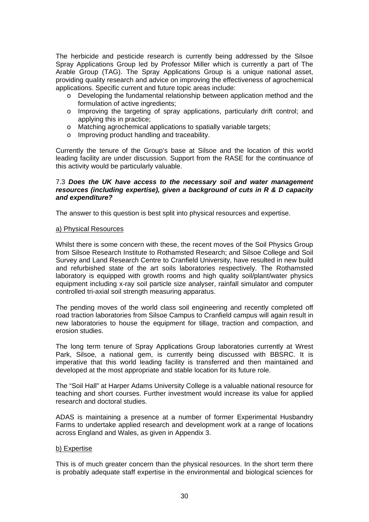The herbicide and pesticide research is currently being addressed by the Silsoe Spray Applications Group led by Professor Miller which is currently a part of The Arable Group (TAG). The Spray Applications Group is a unique national asset, providing quality research and advice on improving the effectiveness of agrochemical applications. Specific current and future topic areas include:

- o Developing the fundamental relationship between application method and the formulation of active ingredients;
- o Improving the targeting of spray applications, particularly drift control; and applying this in practice;
- o Matching agrochemical applications to spatially variable targets;
- o Improving product handling and traceability.

Currently the tenure of the Group's base at Silsoe and the location of this world leading facility are under discussion. Support from the RASE for the continuance of this activity would be particularly valuable.

## 7.3 *Does the UK have access to the necessary soil and water management resources (including expertise), given a background of cuts in R & D capacity and expenditure?*

The answer to this question is best split into physical resources and expertise.

#### a) Physical Resources

Whilst there is some concern with these, the recent moves of the Soil Physics Group from Silsoe Research Institute to Rothamsted Research; and Silsoe College and Soil Survey and Land Research Centre to Cranfield University, have resulted in new build and refurbished state of the art soils laboratories respectively. The Rothamsted laboratory is equipped with growth rooms and high quality soil/plant/water physics equipment including x-ray soil particle size analyser, rainfall simulator and computer controlled tri-axial soil strength measuring apparatus.

The pending moves of the world class soil engineering and recently completed off road traction laboratories from Silsoe Campus to Cranfield campus will again result in new laboratories to house the equipment for tillage, traction and compaction, and erosion studies.

The long term tenure of Spray Applications Group laboratories currently at Wrest Park, Silsoe, a national gem, is currently being discussed with BBSRC. It is imperative that this world leading facility is transferred and then maintained and developed at the most appropriate and stable location for its future role.

The "Soil Hall" at Harper Adams University College is a valuable national resource for teaching and short courses. Further investment would increase its value for applied research and doctoral studies.

ADAS is maintaining a presence at a number of former Experimental Husbandry Farms to undertake applied research and development work at a range of locations across England and Wales, as given in Appendix 3.

#### b) Expertise

This is of much greater concern than the physical resources. In the short term there is probably adequate staff expertise in the environmental and biological sciences for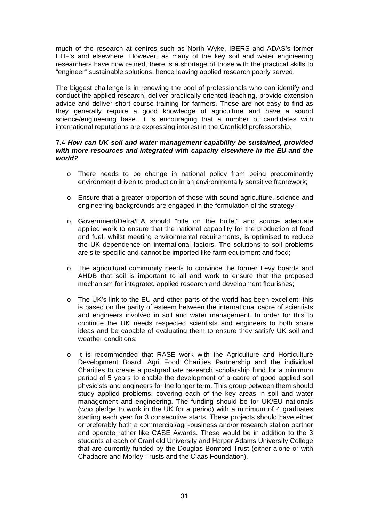much of the research at centres such as North Wyke, IBERS and ADAS's former EHF's and elsewhere. However, as many of the key soil and water engineering researchers have now retired, there is a shortage of those with the practical skills to "engineer" sustainable solutions, hence leaving applied research poorly served.

The biggest challenge is in renewing the pool of professionals who can identify and conduct the applied research, deliver practically oriented teaching, provide extension advice and deliver short course training for farmers. These are not easy to find as they generally require a good knowledge of agriculture and have a sound science/engineering base. It is encouraging that a number of candidates with international reputations are expressing interest in the Cranfield professorship.

# 7.4 *How can UK soil and water management capability be sustained, provided with more resources and integrated with capacity elsewhere in the EU and the world?*

- o There needs to be change in national policy from being predominantly environment driven to production in an environmentally sensitive framework;
- o Ensure that a greater proportion of those with sound agriculture, science and engineering backgrounds are engaged in the formulation of the strategy;
- o Government/Defra/EA should "bite on the bullet" and source adequate applied work to ensure that the national capability for the production of food and fuel, whilst meeting environmental requirements, is optimised to reduce the UK dependence on international factors. The solutions to soil problems are site-specific and cannot be imported like farm equipment and food;
- o The agricultural community needs to convince the former Levy boards and AHDB that soil is important to all and work to ensure that the proposed mechanism for integrated applied research and development flourishes;
- o The UK's link to the EU and other parts of the world has been excellent; this is based on the parity of esteem between the international cadre of scientists and engineers involved in soil and water management. In order for this to continue the UK needs respected scientists and engineers to both share ideas and be capable of evaluating them to ensure they satisfy UK soil and weather conditions;
- o It is recommended that RASE work with the Agriculture and Horticulture Development Board, Agri Food Charities Partnership and the individual Charities to create a postgraduate research scholarship fund for a minimum period of 5 years to enable the development of a cadre of good applied soil physicists and engineers for the longer term. This group between them should study applied problems, covering each of the key areas in soil and water management and engineering. The funding should be for UK/EU nationals (who pledge to work in the UK for a period) with a minimum of 4 graduates starting each year for 3 consecutive starts. These projects should have either or preferably both a commercial/agri-business and/or research station partner and operate rather like CASE Awards. These would be in addition to the 3 students at each of Cranfield University and Harper Adams University College that are currently funded by the Douglas Bomford Trust (either alone or with Chadacre and Morley Trusts and the Claas Foundation).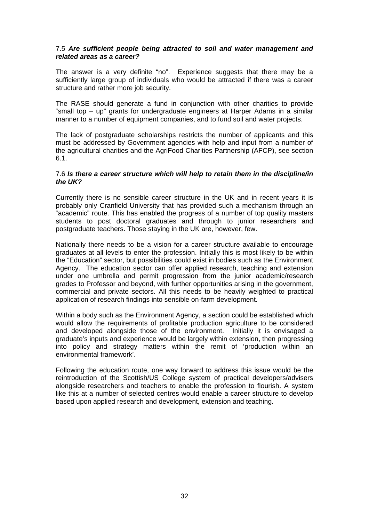# 7.5 *Are sufficient people being attracted to soil and water management and related areas as a career?*

The answer is a very definite "no". Experience suggests that there may be a sufficiently large group of individuals who would be attracted if there was a career structure and rather more job security.

The RASE should generate a fund in conjunction with other charities to provide "small top – up" grants for undergraduate engineers at Harper Adams in a similar manner to a number of equipment companies, and to fund soil and water projects.

The lack of postgraduate scholarships restricts the number of applicants and this must be addressed by Government agencies with help and input from a number of the agricultural charities and the AgriFood Charities Partnership (AFCP), see section 6.1.

#### 7.6 *Is there a career structure which will help to retain them in the discipline/in the UK?*

Currently there is no sensible career structure in the UK and in recent years it is probably only Cranfield University that has provided such a mechanism through an "academic" route. This has enabled the progress of a number of top quality masters students to post doctoral graduates and through to junior researchers and postgraduate teachers. Those staying in the UK are, however, few.

Nationally there needs to be a vision for a career structure available to encourage graduates at all levels to enter the profession. Initially this is most likely to be within the "Education" sector, but possibilities could exist in bodies such as the Environment Agency. The education sector can offer applied research, teaching and extension under one umbrella and permit progression from the junior academic/research grades to Professor and beyond, with further opportunities arising in the government, commercial and private sectors. All this needs to be heavily weighted to practical application of research findings into sensible on-farm development.

Within a body such as the Environment Agency, a section could be established which would allow the requirements of profitable production agriculture to be considered and developed alongside those of the environment. Initially it is envisaged a graduate's inputs and experience would be largely within extension, then progressing into policy and strategy matters within the remit of 'production within an environmental framework'.

Following the education route, one way forward to address this issue would be the reintroduction of the Scottish/US College system of practical developers/advisers alongside researchers and teachers to enable the profession to flourish. A system like this at a number of selected centres would enable a career structure to develop based upon applied research and development, extension and teaching.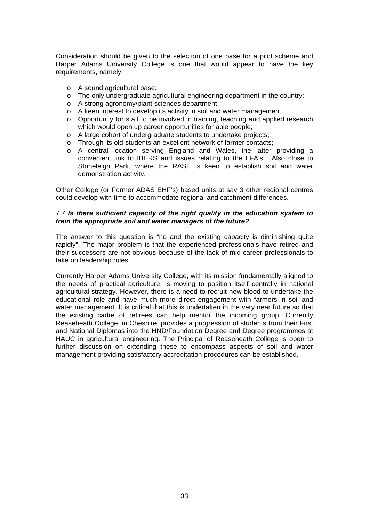Consideration should be given to the selection of one base for a pilot scheme and Harper Adams University College is one that would appear to have the key requirements, namely:

- o A sound agricultural base;
- o The only undergraduate agricultural engineering department in the country;
- o A strong agronomy/plant sciences department;
- o A keen interest to develop its activity in soil and water management;
- o Opportunity for staff to be involved in training, teaching and applied research which would open up career opportunities for able people;
- o A large cohort of undergraduate students to undertake projects;
- o Through its old-students an excellent network of farmer contacts;
- o A central location serving England and Wales, the latter providing a convenient link to IBERS and issues relating to the LFA's. Also close to Stoneleigh Park, where the RASE is keen to establish soil and water demonstration activity.

Other College (or Former ADAS EHF's) based units at say 3 other regional centres could develop with time to accommodate regional and catchment differences.

# 7.7 *Is there sufficient capacity of the right quality in the education system to train the appropriate soil and water managers of the future?*

The answer to this question is "no and the existing capacity is diminishing quite rapidly". The major problem is that the experienced professionals have retired and their successors are not obvious because of the lack of mid-career professionals to take on leadership roles.

Currently Harper Adams University College, with its mission fundamentally aligned to the needs of practical agriculture, is moving to position itself centrally in national agricultural strategy. However, there is a need to recruit new blood to undertake the educational role and have much more direct engagement with farmers in soil and water management. It is critical that this is undertaken in the very near future so that the existing cadre of retirees can help mentor the incoming group. Currently Reaseheath College, in Cheshire, provides a progression of students from their First and National Diplomas into the HND/Foundation Degree and Degree programmes at HAUC in agricultural engineering. The Principal of Reaseheath College is open to further discussion on extending these to encompass aspects of soil and water management providing satisfactory accreditation procedures can be established.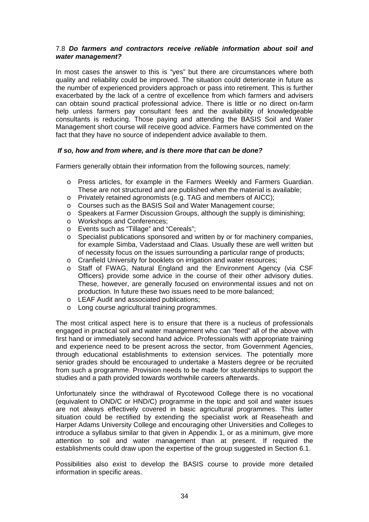# 7.8 *Do farmers and contractors receive reliable information about soil and water management?*

In most cases the answer to this is "yes" but there are circumstances where both quality and reliability could be improved. The situation could deteriorate in future as the number of experienced providers approach or pass into retirement. This is further exacerbated by the lack of a centre of excellence from which farmers and advisers can obtain sound practical professional advice. There is little or no direct on-farm help unless farmers pay consultant fees and the availability of knowledgeable consultants is reducing. Those paying and attending the BASIS Soil and Water Management short course will receive good advice. Farmers have commented on the fact that they have no source of independent advice available to them.

# *If so, how and from where, and is there more that can be done?*

Farmers generally obtain their information from the following sources, namely:

- o Press articles, for example in the Farmers Weekly and Farmers Guardian. These are not structured and are published when the material is available;
- o Privately retained agronomists (e.g. TAG and members of AICC);
- o Courses such as the BASIS Soil and Water Management course;
- o Speakers at Farmer Discussion Groups, although the supply is diminishing;
- o Workshops and Conferences;
- o Events such as "Tillage" and "Cereals";
- o Specialist publications sponsored and written by or for machinery companies, for example Simba, Vaderstaad and Claas. Usually these are well written but of necessity focus on the issues surrounding a particular range of products;
- o Cranfield University for booklets on irrigation and water resources;
- o Staff of FWAG, Natural England and the Environment Agency (via CSF Officers) provide some advice in the course of their other advisory duties. These, however, are generally focused on environmental issues and not on production. In future these two issues need to be more balanced;
- o LEAF Audit and associated publications;
- o Long course agricultural training programmes.

The most critical aspect here is to ensure that there is a nucleus of professionals engaged in practical soil and water management who can "feed" all of the above with first hand or immediately second hand advice. Professionals with appropriate training and experience need to be present across the sector, from Government Agencies, through educational establishments to extension services. The potentially more senior grades should be encouraged to undertake a Masters degree or be recruited from such a programme. Provision needs to be made for studentships to support the studies and a path provided towards worthwhile careers afterwards.

Unfortunately since the withdrawal of Rycotewood College there is no vocational (equivalent to OND/C or HND/C) programme in the topic and soil and water issues are not always effectively covered in basic agricultural programmes. This latter situation could be rectified by extending the specialist work at Reaseheath and Harper Adams University College and encouraging other Universities and Colleges to introduce a syllabus similar to that given in Appendix 1, or as a minimum, give more attention to soil and water management than at present. If required the establishments could draw upon the expertise of the group suggested in Section 6.1.

Possibilities also exist to develop the BASIS course to provide more detailed information in specific areas.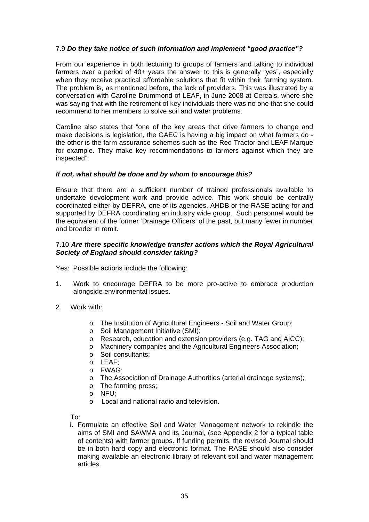# 7.9 *Do they take notice of such information and implement "good practice"?*

From our experience in both lecturing to groups of farmers and talking to individual farmers over a period of 40+ years the answer to this is generally "yes", especially when they receive practical affordable solutions that fit within their farming system. The problem is, as mentioned before, the lack of providers. This was illustrated by a conversation with Caroline Drummond of LEAF, in June 2008 at Cereals, where she was saying that with the retirement of key individuals there was no one that she could recommend to her members to solve soil and water problems.

Caroline also states that "one of the key areas that drive farmers to change and make decisions is legislation, the GAEC is having a big impact on what farmers do the other is the farm assurance schemes such as the Red Tractor and LEAF Marque for example. They make key recommendations to farmers against which they are inspected".

# *If not, what should be done and by whom to encourage this?*

Ensure that there are a sufficient number of trained professionals available to undertake development work and provide advice. This work should be centrally coordinated either by DEFRA, one of its agencies, AHDB or the RASE acting for and supported by DEFRA coordinating an industry wide group. Such personnel would be the equivalent of the former 'Drainage Officers' of the past, but many fewer in number and broader in remit.

# 7.10 *Are there specific knowledge transfer actions which the Royal Agricultural Society of England should consider taking?*

Yes: Possible actions include the following:

- 1. Work to encourage DEFRA to be more pro-active to embrace production alongside environmental issues.
- 2. Work with:
	- o The Institution of Agricultural Engineers Soil and Water Group;
	- o Soil Management Initiative (SMI);
	- o Research, education and extension providers (e.g. TAG and AICC);
	- o Machinery companies and the Agricultural Engineers Association;
	- o Soil consultants;
	- o LEAF;
	- o FWAG;
	- o The Association of Drainage Authorities (arterial drainage systems);
	- o The farming press;
	- o NFU;
	- o Local and national radio and television.

To:

i. Formulate an effective Soil and Water Management network to rekindle the aims of SMI and SAWMA and its Journal, (see Appendix 2 for a typical table of contents) with farmer groups. If funding permits, the revised Journal should be in both hard copy and electronic format. The RASE should also consider making available an electronic library of relevant soil and water management articles.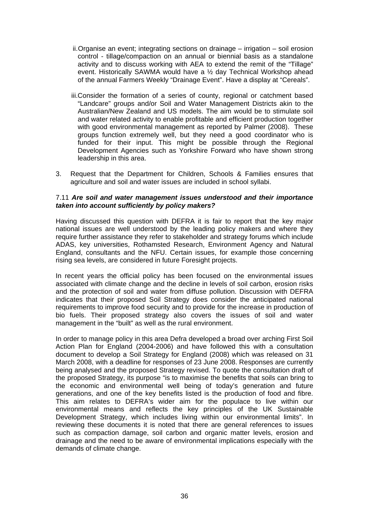- ii. Organise an event; integrating sections on drainage irrigation soil erosion control - tillage/compaction on an annual or biennial basis as a standalone activity and to discuss working with AEA to extend the remit of the "Tillage" event. Historically SAWMA would have a ½ day Technical Workshop ahead of the annual Farmers Weekly "Drainage Event". Have a display at "Cereals".
- iii.Consider the formation of a series of county, regional or catchment based "Landcare" groups and/or Soil and Water Management Districts akin to the Australian/New Zealand and US models. The aim would be to stimulate soil and water related activity to enable profitable and efficient production together with good environmental management as reported by Palmer (2008). These groups function extremely well, but they need a good coordinator who is funded for their input. This might be possible through the Regional Development Agencies such as Yorkshire Forward who have shown strong leadership in this area.
- 3. Request that the Department for Children, Schools & Families ensures that agriculture and soil and water issues are included in school syllabi.

# 7.11 *Are soil and water management issues understood and their importance taken into account sufficiently by policy makers?*

Having discussed this question with DEFRA it is fair to report that the key major national issues are well understood by the leading policy makers and where they require further assistance they refer to stakeholder and strategy forums which include ADAS, key universities, Rothamsted Research, Environment Agency and Natural England, consultants and the NFU. Certain issues, for example those concerning rising sea levels, are considered in future Foresight projects.

In recent years the official policy has been focused on the environmental issues associated with climate change and the decline in levels of soil carbon, erosion risks and the protection of soil and water from diffuse pollution. Discussion with DEFRA indicates that their proposed Soil Strategy does consider the anticipated national requirements to improve food security and to provide for the increase in production of bio fuels. Their proposed strategy also covers the issues of soil and water management in the "built" as well as the rural environment.

In order to manage policy in this area Defra developed a broad over arching First Soil Action Plan for England (2004-2006) and have followed this with a consultation document to develop a Soil Strategy for England (2008) which was released on 31 March 2008, with a deadline for responses of 23 June 2008. Responses are currently being analysed and the proposed Strategy revised. To quote the consultation draft of the proposed Strategy, its purpose "is to maximise the benefits that soils can bring to the economic and environmental well being of today's generation and future generations, and one of the key benefits listed is the production of food and fibre. This aim relates to DEFRA's wider aim for the populace to live within our environmental means and reflects the key principles of the UK Sustainable Development Strategy, which includes living within our environmental limits". In reviewing these documents it is noted that there are general references to issues such as compaction damage, soil carbon and organic matter levels, erosion and drainage and the need to be aware of environmental implications especially with the demands of climate change.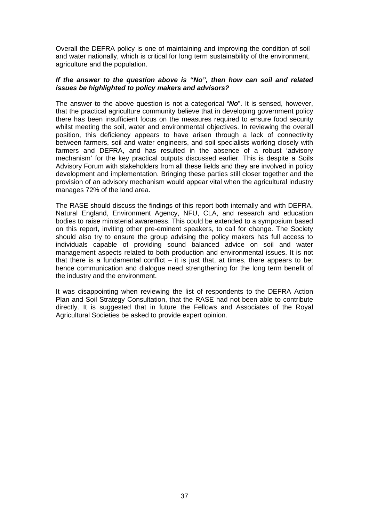Overall the DEFRA policy is one of maintaining and improving the condition of soil and water nationally, which is critical for long term sustainability of the environment, agriculture and the population.

# *If the answer to the question above is "No", then how can soil and related issues be highlighted to policy makers and advisors?*

The answer to the above question is not a categorical "*No*". It is sensed, however, that the practical agriculture community believe that in developing government policy there has been insufficient focus on the measures required to ensure food security whilst meeting the soil, water and environmental objectives. In reviewing the overall position, this deficiency appears to have arisen through a lack of connectivity between farmers, soil and water engineers, and soil specialists working closely with farmers and DEFRA, and has resulted in the absence of a robust 'advisory mechanism' for the key practical outputs discussed earlier. This is despite a Soils Advisory Forum with stakeholders from all these fields and they are involved in policy development and implementation. Bringing these parties still closer together and the provision of an advisory mechanism would appear vital when the agricultural industry manages 72% of the land area.

The RASE should discuss the findings of this report both internally and with DEFRA, Natural England, Environment Agency, NFU, CLA, and research and education bodies to raise ministerial awareness. This could be extended to a symposium based on this report, inviting other pre-eminent speakers, to call for change. The Society should also try to ensure the group advising the policy makers has full access to individuals capable of providing sound balanced advice on soil and water management aspects related to both production and environmental issues. It is not that there is a fundamental conflict  $-$  it is just that, at times, there appears to be; hence communication and dialogue need strengthening for the long term benefit of the industry and the environment.

It was disappointing when reviewing the list of respondents to the DEFRA Action Plan and Soil Strategy Consultation, that the RASE had not been able to contribute directly. It is suggested that in future the Fellows and Associates of the Royal Agricultural Societies be asked to provide expert opinion.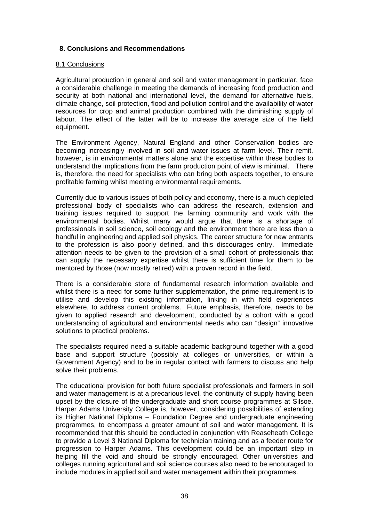# **8. Conclusions and Recommendations**

# 8.1 Conclusions

Agricultural production in general and soil and water management in particular, face a considerable challenge in meeting the demands of increasing food production and security at both national and international level, the demand for alternative fuels, climate change, soil protection, flood and pollution control and the availability of water resources for crop and animal production combined with the diminishing supply of labour. The effect of the latter will be to increase the average size of the field equipment.

The Environment Agency, Natural England and other Conservation bodies are becoming increasingly involved in soil and water issues at farm level. Their remit, however, is in environmental matters alone and the expertise within these bodies to understand the implications from the farm production point of view is minimal. There is, therefore, the need for specialists who can bring both aspects together, to ensure profitable farming whilst meeting environmental requirements.

Currently due to various issues of both policy and economy, there is a much depleted professional body of specialists who can address the research, extension and training issues required to support the farming community and work with the environmental bodies. Whilst many would argue that there is a shortage of professionals in soil science, soil ecology and the environment there are less than a handful in engineering and applied soil physics. The career structure for new entrants to the profession is also poorly defined, and this discourages entry. Immediate attention needs to be given to the provision of a small cohort of professionals that can supply the necessary expertise whilst there is sufficient time for them to be mentored by those (now mostly retired) with a proven record in the field.

There is a considerable store of fundamental research information available and whilst there is a need for some further supplementation, the prime requirement is to utilise and develop this existing information, linking in with field experiences elsewhere, to address current problems. Future emphasis, therefore, needs to be given to applied research and development, conducted by a cohort with a good understanding of agricultural and environmental needs who can "design" innovative solutions to practical problems.

The specialists required need a suitable academic background together with a good base and support structure (possibly at colleges or universities, or within a Government Agency) and to be in regular contact with farmers to discuss and help solve their problems.

The educational provision for both future specialist professionals and farmers in soil and water management is at a precarious level, the continuity of supply having been upset by the closure of the undergraduate and short course programmes at Silsoe. Harper Adams University College is, however, considering possibilities of extending its Higher National Diploma – Foundation Degree and undergraduate engineering programmes, to encompass a greater amount of soil and water management. It is recommended that this should be conducted in conjunction with Reaseheath College to provide a Level 3 National Diploma for technician training and as a feeder route for progression to Harper Adams. This development could be an important step in helping fill the void and should be strongly encouraged. Other universities and colleges running agricultural and soil science courses also need to be encouraged to include modules in applied soil and water management within their programmes.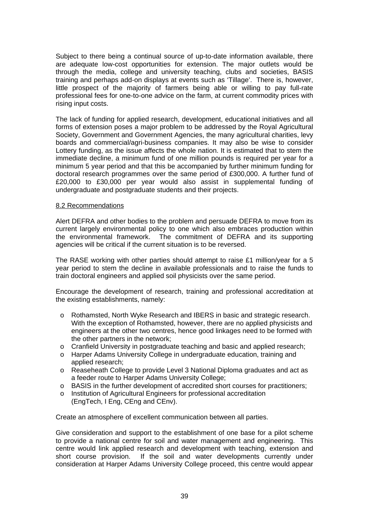Subject to there being a continual source of up-to-date information available, there are adequate low-cost opportunities for extension. The major outlets would be through the media, college and university teaching, clubs and societies, BASIS training and perhaps add-on displays at events such as 'Tillage'. There is, however, little prospect of the majority of farmers being able or willing to pay full-rate professional fees for one-to-one advice on the farm, at current commodity prices with rising input costs.

The lack of funding for applied research, development, educational initiatives and all forms of extension poses a major problem to be addressed by the Royal Agricultural Society, Government and Government Agencies, the many agricultural charities, levy boards and commercial/agri-business companies. It may also be wise to consider Lottery funding, as the issue affects the whole nation. It is estimated that to stem the immediate decline, a minimum fund of one million pounds is required per year for a minimum 5 year period and that this be accompanied by further minimum funding for doctoral research programmes over the same period of £300,000. A further fund of £20,000 to £30,000 per year would also assist in supplemental funding of undergraduate and postgraduate students and their projects.

#### 8.2 Recommendations

Alert DEFRA and other bodies to the problem and persuade DEFRA to move from its current largely environmental policy to one which also embraces production within the environmental framework. The commitment of DEFRA and its supporting agencies will be critical if the current situation is to be reversed.

The RASE working with other parties should attempt to raise £1 million/year for a 5 year period to stem the decline in available professionals and to raise the funds to train doctoral engineers and applied soil physicists over the same period.

Encourage the development of research, training and professional accreditation at the existing establishments, namely:

- o Rothamsted, North Wyke Research and IBERS in basic and strategic research. With the exception of Rothamsted, however, there are no applied physicists and engineers at the other two centres, hence good linkages need to be formed with the other partners in the network;
- o Cranfield University in postgraduate teaching and basic and applied research;
- o Harper Adams University College in undergraduate education, training and applied research;
- o Reaseheath College to provide Level 3 National Diploma graduates and act as a feeder route to Harper Adams University College;
- o BASIS in the further development of accredited short courses for practitioners;
- o Institution of Agricultural Engineers for professional accreditation (EngTech, I Eng, CEng and CEnv).

Create an atmosphere of excellent communication between all parties.

Give consideration and support to the establishment of one base for a pilot scheme to provide a national centre for soil and water management and engineering. This centre would link applied research and development with teaching, extension and short course provision. If the soil and water developments currently under If the soil and water developments currently under consideration at Harper Adams University College proceed, this centre would appear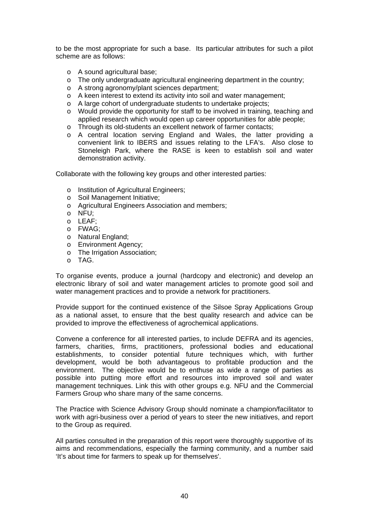to be the most appropriate for such a base. Its particular attributes for such a pilot scheme are as follows:

- o A sound agricultural base;
- o The only undergraduate agricultural engineering department in the country;
- o A strong agronomy/plant sciences department;
- o A keen interest to extend its activity into soil and water management;
- o A large cohort of undergraduate students to undertake projects;
- o Would provide the opportunity for staff to be involved in training, teaching and applied research which would open up career opportunities for able people;
- o Through its old-students an excellent network of farmer contacts;
- o A central location serving England and Wales, the latter providing a convenient link to IBERS and issues relating to the LFA's. Also close to Stoneleigh Park, where the RASE is keen to establish soil and water demonstration activity.

Collaborate with the following key groups and other interested parties:

- o Institution of Agricultural Engineers;
- o Soil Management Initiative;
- o Agricultural Engineers Association and members;
- o NFU;
- o LEAF;
- o FWAG;
- o Natural England;
- o Environment Agency;
- o The Irrigation Association;
- o TAG.

To organise events, produce a journal (hardcopy and electronic) and develop an electronic library of soil and water management articles to promote good soil and water management practices and to provide a network for practitioners.

Provide support for the continued existence of the Silsoe Spray Applications Group as a national asset, to ensure that the best quality research and advice can be provided to improve the effectiveness of agrochemical applications.

Convene a conference for all interested parties, to include DEFRA and its agencies, farmers, charities, firms, practitioners, professional bodies and educational establishments, to consider potential future techniques which, with further development, would be both advantageous to profitable production and the environment. The objective would be to enthuse as wide a range of parties as possible into putting more effort and resources into improved soil and water management techniques. Link this with other groups e.g. NFU and the Commercial Farmers Group who share many of the same concerns.

The Practice with Science Advisory Group should nominate a champion/facilitator to work with agri-business over a period of years to steer the new initiatives, and report to the Group as required.

All parties consulted in the preparation of this report were thoroughly supportive of its aims and recommendations, especially the farming community, and a number said 'It's about time for farmers to speak up for themselves'.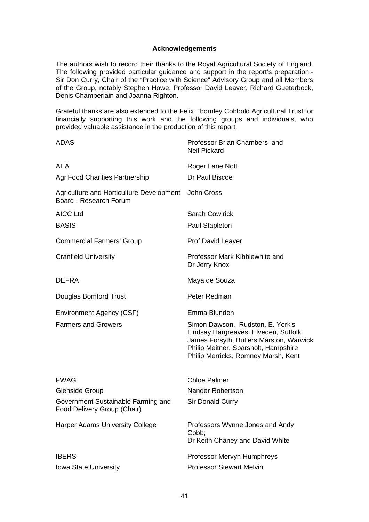#### **Acknowledgements**

The authors wish to record their thanks to the Royal Agricultural Society of England. The following provided particular guidance and support in the report's preparation:- Sir Don Curry, Chair of the "Practice with Science" Advisory Group and all Members of the Group, notably Stephen Howe, Professor David Leaver, Richard Gueterbock, Denis Chamberlain and Joanna Righton.

Grateful thanks are also extended to the Felix Thornley Cobbold Agricultural Trust for financially supporting this work and the following groups and individuals, who provided valuable assistance in the production of this report.

| <b>ADAS</b>                                                        | Professor Brian Chambers and<br><b>Neil Pickard</b>                                                                                                                                                |
|--------------------------------------------------------------------|----------------------------------------------------------------------------------------------------------------------------------------------------------------------------------------------------|
| AEA                                                                | Roger Lane Nott                                                                                                                                                                                    |
| <b>AgriFood Charities Partnership</b>                              | Dr Paul Biscoe                                                                                                                                                                                     |
| Agriculture and Horticulture Development<br>Board - Research Forum | <b>John Cross</b>                                                                                                                                                                                  |
| <b>AICC Ltd</b>                                                    | <b>Sarah Cowlrick</b>                                                                                                                                                                              |
| <b>BASIS</b>                                                       | Paul Stapleton                                                                                                                                                                                     |
| <b>Commercial Farmers' Group</b>                                   | Prof David Leaver                                                                                                                                                                                  |
| <b>Cranfield University</b>                                        | Professor Mark Kibblewhite and<br>Dr Jerry Knox                                                                                                                                                    |
| <b>DEFRA</b>                                                       | Maya de Souza                                                                                                                                                                                      |
| Douglas Bomford Trust                                              | Peter Redman                                                                                                                                                                                       |
| Environment Agency (CSF)                                           | Emma Blunden                                                                                                                                                                                       |
| <b>Farmers and Growers</b>                                         | Simon Dawson, Rudston, E. York's<br>Lindsay Hargreaves, Elveden, Suffolk<br>James Forsyth, Butlers Marston, Warwick<br>Philip Meitner, Sparsholt, Hampshire<br>Philip Merricks, Romney Marsh, Kent |
| <b>FWAG</b>                                                        | <b>Chloe Palmer</b>                                                                                                                                                                                |
| <b>Glenside Group</b>                                              | Nander Robertson                                                                                                                                                                                   |
| Government Sustainable Farming and<br>Food Delivery Group (Chair)  | Sir Donald Curry                                                                                                                                                                                   |
| <b>Harper Adams University College</b>                             | Professors Wynne Jones and Andy<br>Cobb;<br>Dr Keith Chaney and David White                                                                                                                        |
| <b>IBERS</b>                                                       | Professor Mervyn Humphreys                                                                                                                                                                         |
| <b>Iowa State University</b>                                       | <b>Professor Stewart Melvin</b>                                                                                                                                                                    |
|                                                                    |                                                                                                                                                                                                    |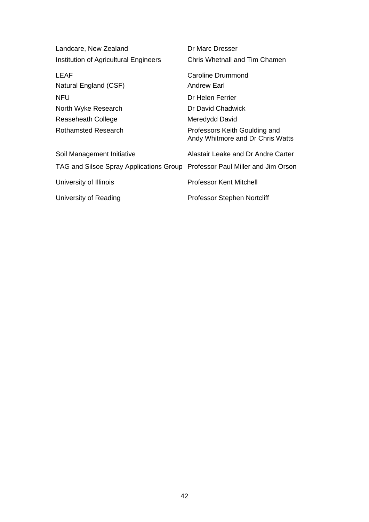| Landcare, New Zealand                                                       | Dr Marc Dresser                                                   |
|-----------------------------------------------------------------------------|-------------------------------------------------------------------|
| Institution of Agricultural Engineers                                       | Chris Whetnall and Tim Chamen                                     |
| LEAF                                                                        | Caroline Drummond                                                 |
| Natural England (CSF)                                                       | Andrew Earl                                                       |
| <b>NFU</b>                                                                  | Dr Helen Ferrier                                                  |
| North Wyke Research                                                         | Dr David Chadwick                                                 |
| Reaseheath College                                                          | Meredydd David                                                    |
| <b>Rothamsted Research</b>                                                  | Professors Keith Goulding and<br>Andy Whitmore and Dr Chris Watts |
| Soil Management Initiative                                                  | Alastair Leake and Dr Andre Carter                                |
| TAG and Silsoe Spray Applications Group Professor Paul Miller and Jim Orson |                                                                   |
| University of Illinois                                                      | <b>Professor Kent Mitchell</b>                                    |
| University of Reading                                                       | <b>Professor Stephen Nortcliff</b>                                |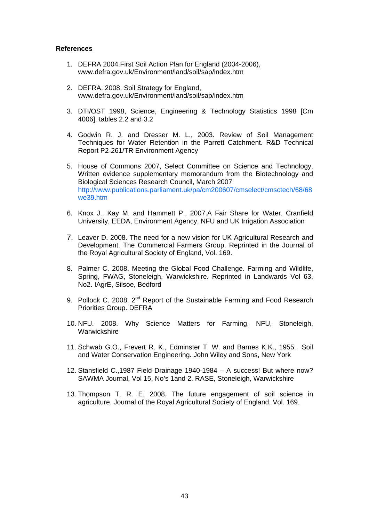#### **References**

- 1. DEFRA 2004.First Soil Action Plan for England (2004-2006), www.defra.gov.uk/Environment/land/soil/sap/index.htm
- 2. DEFRA. 2008. Soil Strategy for England, www.defra.gov.uk/Environment/land/soil/sap/index.htm
- 3. DTI/OST 1998, Science, Engineering & Technology Statistics 1998 [Cm 4006], tables 2.2 and 3.2
- 4. Godwin R. J. and Dresser M. L., 2003. Review of Soil Management Techniques for Water Retention in the Parrett Catchment. R&D Technical Report P2-261/TR Environment Agency
- 5. House of Commons 2007, Select Committee on Science and Technology, Written evidence supplementary memorandum from the Biotechnology and Biological Sciences Research Council, March 2007 [http://www.publications.parliament.uk/pa/cm200607/cmselect/cmsctech/68/68](http://www.publications.parliament.uk/pa/cm200607/cmselect/cmsctech/68/68we39.htm) [we39.htm](http://www.publications.parliament.uk/pa/cm200607/cmselect/cmsctech/68/68we39.htm)
- 6. Knox J., Kay M. and Hammett P., 2007.A Fair Share for Water. Cranfield University, EEDA, Environment Agency, NFU and UK Irrigation Association
- 7. Leaver D. 2008. The need for a new vision for UK Agricultural Research and Development. The Commercial Farmers Group. Reprinted in the Journal of the Royal Agricultural Society of England, Vol. 169.
- 8. Palmer C. 2008. Meeting the Global Food Challenge. Farming and Wildlife, Spring, FWAG, Stoneleigh, Warwickshire. Reprinted in Landwards Vol 63, No2. IAgrE, Silsoe, Bedford
- 9. Pollock C. 2008. 2<sup>nd</sup> Report of the Sustainable Farming and Food Research Priorities Group. DEFRA
- 10. NFU. 2008. Why Science Matters for Farming, NFU, Stoneleigh, **Warwickshire**
- 11. Schwab G.O., Frevert R. K., Edminster T. W. and Barnes K.K., 1955. Soil and Water Conservation Engineering. John Wiley and Sons, New York
- 12. Stansfield C.,1987 Field Drainage 1940-1984 A success! But where now? SAWMA Journal, Vol 15, No's 1and 2. RASE, Stoneleigh, Warwickshire
- 13. Thompson T. R. E. 2008. The future engagement of soil science in agriculture. Journal of the Royal Agricultural Society of England, Vol. 169.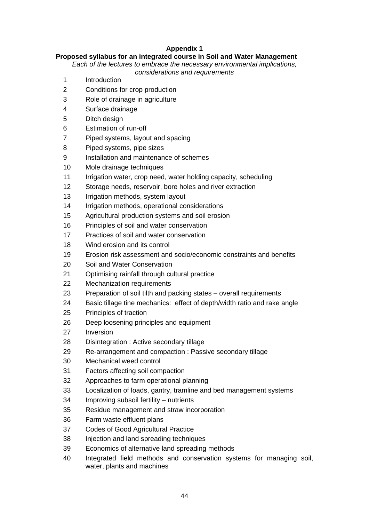# **Appendix 1**

# **Proposed syllabus for an integrated course in Soil and Water Management**

*Each of the lectures to embrace the necessary environmental implications,* 

*considerations and requirements* 

- 1 Introduction
- 2 Conditions for crop production
- 3 Role of drainage in agriculture
- 4 Surface drainage
- 5 Ditch design
- 6 Estimation of run-off
- 7 Piped systems, layout and spacing
- 8 Piped systems, pipe sizes
- 9 Installation and maintenance of schemes
- 10 Mole drainage techniques
- 11 Irrigation water, crop need, water holding capacity, scheduling
- 12 Storage needs, reservoir, bore holes and river extraction
- 13 Irrigation methods, system layout
- 14 Irrigation methods, operational considerations
- 15 Agricultural production systems and soil erosion
- 16 Principles of soil and water conservation
- 17 Practices of soil and water conservation
- 18 Wind erosion and its control
- 19 Erosion risk assessment and socio/economic constraints and benefits
- 20 Soil and Water Conservation
- 21 Optimising rainfall through cultural practice
- 22 Mechanization requirements
- 23 Preparation of soil tilth and packing states overall requirements
- 24 Basic tillage tine mechanics: effect of depth/width ratio and rake angle
- 25 Principles of traction
- 26 Deep loosening principles and equipment
- 27 Inversion
- 28 Disintegration : Active secondary tillage
- 29 Re-arrangement and compaction : Passive secondary tillage
- 30 Mechanical weed control
- 31 Factors affecting soil compaction
- 32 Approaches to farm operational planning
- 33 Localization of loads, gantry, tramline and bed management systems
- 34 Improving subsoil fertility nutrients
- 35 Residue management and straw incorporation
- 36 Farm waste effluent plans
- 37 Codes of Good Agricultural Practice
- 38 Injection and land spreading techniques
- 39 Economics of alternative land spreading methods
- 40 Integrated field methods and conservation systems for managing soil, water, plants and machines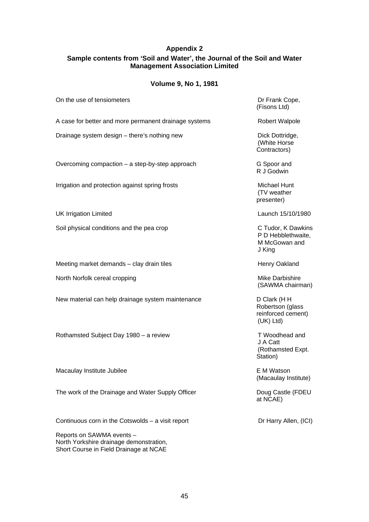# **Appendix 2 Sample contents from 'Soil and Water', the Journal of the Soil and Water Management Association Limited**

# **Volume 9, No 1, 1981**

| On the use of tensiometers                            | Dr Frank Cope,<br>(Fisons Ltd)                                       |
|-------------------------------------------------------|----------------------------------------------------------------------|
| A case for better and more permanent drainage systems | <b>Robert Walpole</b>                                                |
| Drainage system design - there's nothing new          | Dick Dottridge,<br>(White Horse<br>Contractors)                      |
| Overcoming compaction - a step-by-step approach       | G Spoor and<br>R J Godwin                                            |
| Irrigation and protection against spring frosts       | Michael Hunt<br>(TV weather<br>presenter)                            |
| <b>UK Irrigation Limited</b>                          | Launch 15/10/1980                                                    |
| Soil physical conditions and the pea crop             | C Tudor, K Dawkins<br>P D Hebblethwaite,<br>M McGowan and<br>J King  |
| Meeting market demands - clay drain tiles             | Henry Oakland                                                        |
| North Norfolk cereal cropping                         | Mike Darbishire<br>(SAWMA chairman)                                  |
| New material can help drainage system maintenance     | D Clark (HH<br>Robertson (glass<br>reinforced cement)<br>$(UK)$ Ltd) |
| Rothamsted Subject Day 1980 - a review                | T Woodhead and<br>J A Catt<br>(Rothamsted Expt.<br>Station)          |
| Macaulay Institute Jubilee                            | E M Watson<br>(Macaulay Institute)                                   |
| The work of the Drainage and Water Supply Officer     | Doug Castle (FDEU<br>at NCAE)                                        |
| Continuous corn in the Cotswolds $-$ a visit report   | Dr Harry Allen, (ICI)                                                |

Reports on SAWMA events – North Yorkshire drainage demonstration, Short Course in Field Drainage at NCAE

45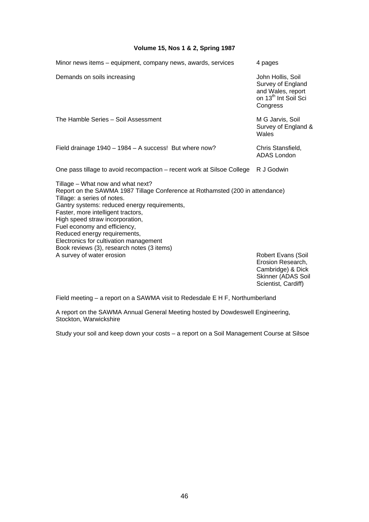# **Volume 15, Nos 1 & 2, Spring 1987**

| Minor news items - equipment, company news, awards, services                                                                                                                                                                                                                                                                                                                                                                                                    | 4 pages                                                                                                     |
|-----------------------------------------------------------------------------------------------------------------------------------------------------------------------------------------------------------------------------------------------------------------------------------------------------------------------------------------------------------------------------------------------------------------------------------------------------------------|-------------------------------------------------------------------------------------------------------------|
| Demands on soils increasing                                                                                                                                                                                                                                                                                                                                                                                                                                     | John Hollis, Soil<br>Survey of England<br>and Wales, report<br>on 13 <sup>th</sup> Int Soil Sci<br>Congress |
| The Hamble Series - Soil Assessment                                                                                                                                                                                                                                                                                                                                                                                                                             | M G Jarvis, Soil<br>Survey of England &<br>Wales                                                            |
| Field drainage 1940 - 1984 - A success! But where now?                                                                                                                                                                                                                                                                                                                                                                                                          | Chris Stansfield,<br><b>ADAS</b> London                                                                     |
| One pass tillage to avoid recompaction – recent work at Silsoe College                                                                                                                                                                                                                                                                                                                                                                                          | R J Godwin                                                                                                  |
| Tillage – What now and what next?<br>Report on the SAWMA 1987 Tillage Conference at Rothamsted (200 in attendance)<br>Tillage: a series of notes.<br>Gantry systems: reduced energy requirements,<br>Faster, more intelligent tractors,<br>High speed straw incorporation,<br>Fuel economy and efficiency,<br>Reduced energy requirements,<br>Electronics for cultivation management<br>Book reviews (3), research notes (3 items)<br>A survey of water erosion | <b>Robert Evans (Soil</b><br>Erosion Research,<br>Cambridge) & Dick<br>Skinner (ADAS Soil                   |

Skinner (ADAS Soil Scientist, Cardiff)

Field meeting – a report on a SAWMA visit to Redesdale E H F, Northumberland

A report on the SAWMA Annual General Meeting hosted by Dowdeswell Engineering, Stockton, Warwickshire

Study your soil and keep down your costs – a report on a Soil Management Course at Silsoe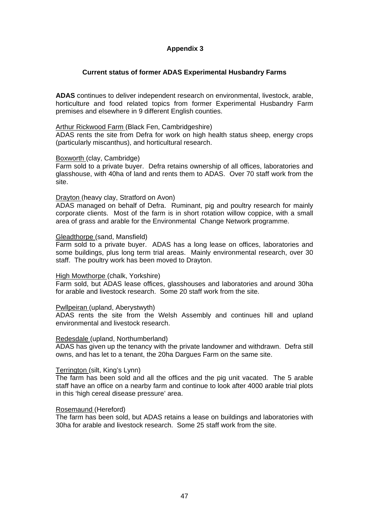# **Appendix 3**

# **Current status of former ADAS Experimental Husbandry Farms**

**ADAS** continues to deliver independent research on environmental, livestock, arable, horticulture and food related topics from former Experimental Husbandry Farm premises and elsewhere in 9 different English counties.

#### Arthur Rickwood Farm (Black Fen, Cambridgeshire)

ADAS rents the site from Defra for work on high health status sheep, energy crops (particularly miscanthus), and horticultural research.

#### Boxworth (clay, Cambridge)

Farm sold to a private buyer. Defra retains ownership of all offices, laboratories and glasshouse, with 40ha of land and rents them to ADAS. Over 70 staff work from the site.

#### Drayton (heavy clay, Stratford on Avon)

ADAS managed on behalf of Defra. Ruminant, pig and poultry research for mainly corporate clients. Most of the farm is in short rotation willow coppice, with a small area of grass and arable for the Environmental Change Network programme.

#### Gleadthorpe (sand, Mansfield)

Farm sold to a private buyer. ADAS has a long lease on offices, laboratories and some buildings, plus long term trial areas. Mainly environmental research, over 30 staff. The poultry work has been moved to Drayton.

#### High Mowthorpe (chalk, Yorkshire)

Farm sold, but ADAS lease offices, glasshouses and laboratories and around 30ha for arable and livestock research. Some 20 staff work from the site.

#### Pwllpeiran (upland, Aberystwyth)

ADAS rents the site from the Welsh Assembly and continues hill and upland environmental and livestock research.

#### Redesdale (upland, Northumberland)

ADAS has given up the tenancy with the private landowner and withdrawn. Defra still owns, and has let to a tenant, the 20ha Dargues Farm on the same site.

#### Terrington (silt, King's Lynn)

The farm has been sold and all the offices and the pig unit vacated. The 5 arable staff have an office on a nearby farm and continue to look after 4000 arable trial plots in this 'high cereal disease pressure' area.

#### Rosemaund (Hereford)

The farm has been sold, but ADAS retains a lease on buildings and laboratories with 30ha for arable and livestock research. Some 25 staff work from the site.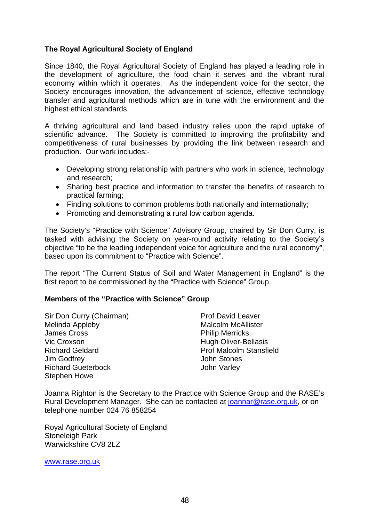# **The Royal Agricultural Society of England**

Since 1840, the Royal Agricultural Society of England has played a leading role in the development of agriculture, the food chain it serves and the vibrant rural economy within which it operates. As the independent voice for the sector, the Society encourages innovation, the advancement of science, effective technology transfer and agricultural methods which are in tune with the environment and the highest ethical standards.

A thriving agricultural and land based industry relies upon the rapid uptake of scientific advance. The Society is committed to improving the profitability and competitiveness of rural businesses by providing the link between research and production. Our work includes:-

- Developing strong relationship with partners who work in science, technology and research;
- Sharing best practice and information to transfer the benefits of research to practical farming;
- Finding solutions to common problems both nationally and internationally;
- Promoting and demonstrating a rural low carbon agenda.

The Society's "Practice with Science" Advisory Group, chaired by Sir Don Curry, is tasked with advising the Society on year-round activity relating to the Society's objective "to be the leading independent voice for agriculture and the rural economy", based upon its commitment to "Practice with Science".

The report "The Current Status of Soil and Water Management in England" is the first report to be commissioned by the "Practice with Science" Group.

# **Members of the "Practice with Science" Group**

Sir Don Curry (Chairman) Prof David Leaver Melinda Appleby Malcolm McAllister Ja[mes Cross](http://www.rase.org.uk/) **Philip Merricks** Vic Croxson **Hugh Oliver-Bellasis** Richard Geldard Prof Malcolm Stansfield Jim Godfrey John Stones Richard Gueterb[ock](mailto:joannar@rase.org.uk) **John Varley** Stephen Howe

Joanna Righton is the Secretary to the Practice with Science Group and the RASE's Rural Development Manager. She can be contacted at joannar@rase.org.uk, or on telephone number 024 76 858254

Royal Agricultural Society of England Stoneleigh Park Warwickshire CV8 2LZ

www.rase.org.uk